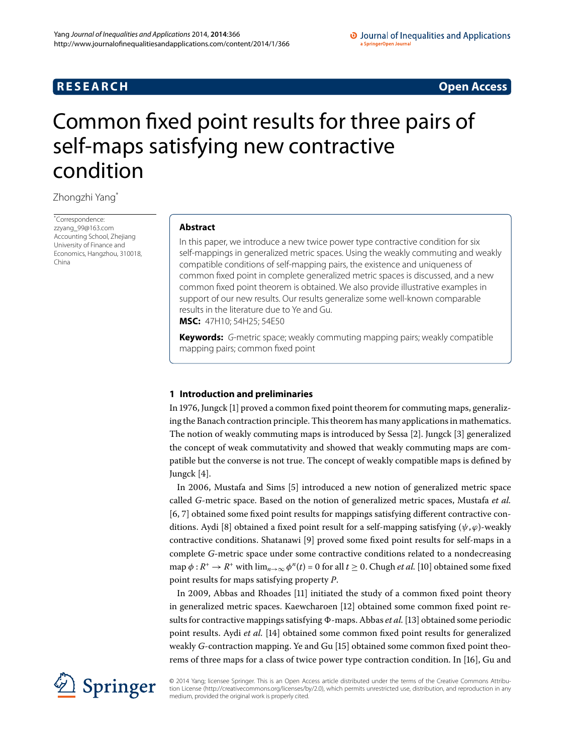# **RESEARCH CONSTRUCTER IN A RESEARCH CONSTRUCTER IN A RESEARCH**

# <span id="page-0-0"></span>Common fixed point results for three pairs of self-maps satisfying new contractive condition

Zhongzhi Yang[\\*](#page-0-0)

\* Correspondence: [zzyang\\_99@163.com](mailto:zzyang_99@163.com) Accounting School, Zhejiang University of Finance and Economics, Hangzhou, 310018, China

## **Abstract**

In this paper, we introduce a new twice power type contractive condition for six self-mappings in generalized metric spaces. Using the weakly commuting and weakly compatible conditions of self-mapping pairs, the existence and uniqueness of common fixed point in complete generalized metric spaces is discussed, and a new common fixed point theorem is obtained. We also provide illustrative examples in support of our new results. Our results generalize some well-known comparable results in the literature due to Ye and Gu.

**MSC:** 47H10; 54H25; 54E50

**Keywords:** G-metric space; weakly commuting mapping pairs; weakly compatible mapping pairs; common fixed point

# **1 Introduction and preliminaries**

In 1976, Jungck  $[1]$  proved a common fixed point theorem for commuting maps, generalizing the Banach contraction principle. This theorem has many applications in mathematics. The notion of weakly commuting maps is introduced by Sessa [\[](#page-29-1)]. Jungck [[\]](#page-29-2) generalized the concept of weak commutativity and showed that weakly commuting maps are compatible but the converse is not true. The concept of weakly compatible maps is defined by Jungck  $[4]$ .

In 2006, Mustafa and Sims [\[](#page-29-4)5] introduced a new notion of generalized metric space called *G*-metric space. Based on the notion of generalized metric spaces, Mustafa *et al.* [6[,](#page-29-5) 7] obtained some fixed point results for mappings satisfying different contractive con-ditions. Aydi [8[\]](#page-29-7) obtained a fixed point result for a self-mapping satisfying  $(\psi, \varphi)$ -weakly contractive conditions. Shatanawi [9[\]](#page-29-8) proved some fixed point results for self-maps in a complete *G*-metric space under some contractive conditions related to a nondecreasing map  $\phi: R^+ \to R^+$  with  $\lim_{n\to\infty} \phi^n(t) = 0$  for all  $t \geq 0$ . Chugh *et al.* [10] obtained some fixed point results for maps satisfying property *P*.

In 2009, Abbas and Rhoades [11[\]](#page-29-10) initiated the study of a common fixed point theory in generalized metric spaces. Kaewcharoen [12] obtained some common fixed point results for contractive mappings satisfying  $\Phi$ -maps. Abbas *et al.* [13] obtained some periodic point results. Aydi *et al.* [14[\]](#page-30-2) obtained some common fixed point results for generalized weakly *G*-contraction mapping. Ye and Gu [15[\]](#page-30-3) obtained some common fixed point theo-rems of three maps for a class of twice power type contraction condition. In [\[](#page-30-4)16], Gu and



© 2014 Yang; licensee Springer. This is an Open Access article distributed under the terms of the Creative Commons Attribution License ([http://creativecommons.org/licenses/by/2.0\)](http://creativecommons.org/licenses/by/2.0), which permits unrestricted use, distribution, and reproduction in any medium, provided the original work is properly cited.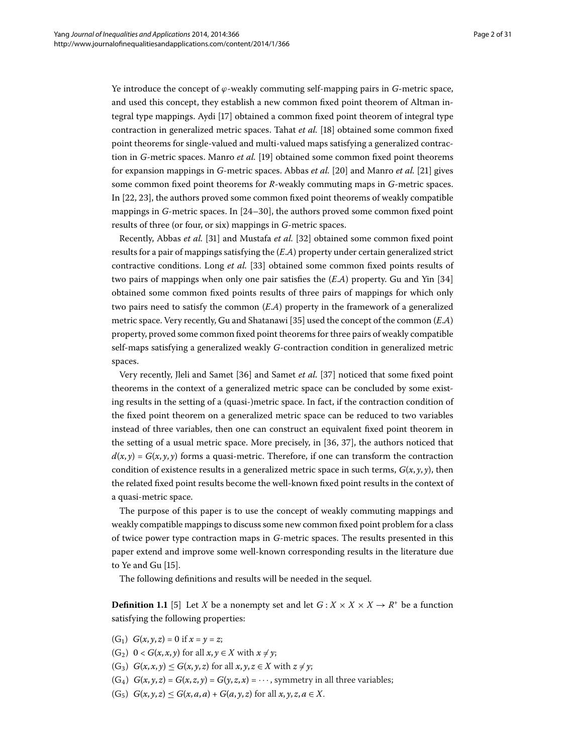Ye introduce the concept of *ϕ*-weakly commuting self-mapping pairs in *G*-metric space, and used this concept, they establish a new common fixed point theorem of Altman integral type mappings. Aydi [17] obtained a common fixed point theorem of integral type contraction in generalized metric spaces. Tahat *et al.* [\[](#page-30-6)18] obtained some common fixed point theorems for single-valued and multi-valued maps satisfying a generalized contraction in *G*-metric spaces. Manro *et al.* [\[](#page-30-7)19] obtained some common fixed point theorems for expansion mappings in *G*-metric spaces. Abbas *et al.* [\[](#page-30-9)20] and Manro *et al.* [21] gives some common fixed point theorems for *R*-weakly commuting maps in *G*-metric spaces. In  $[22, 23]$  $[22, 23]$  $[22, 23]$ , the authors proved some common fixed point theorems of weakly compatible mappings in  $G$ -metric spaces. In  $[24-30]$ , the authors proved some common fixed point results of three (or four, or six) mappings in *G*-metric spaces.

Recently, Abbas *et al.* [31[\]](#page-30-15) and Mustafa *et al.* [32] obtained some common fixed point results for a pair of mappings satisfying the (*E*.*A*) property under certain generalized strict contractive conditions. Long *et al.* [33] obtained some common fixed points results of two pairs of mappings when only one pair satisfies the  $(E.A)$  property. Gu and Yin [34] obtained some common fixed points results of three pairs of mappings for which only two pairs need to satisfy the common (*E*.*A*) property in the framework of a generalized metric space. Very recently, Gu and Shatanawi [\[](#page-30-18)35] used the concept of the common  $(E.A)$ property, proved some common fixed point theorems for three pairs of weakly compatible self-maps satisfying a generalized weakly *G*-contraction condition in generalized metric spaces.

Very recently, Jleli and Samet [\[](#page-30-20)36] and Samet *et al.* [37] noticed that some fixed point theorems in the context of a generalized metric space can be concluded by some existing results in the setting of a (quasi-)metric space. In fact, if the contraction condition of the fixed point theorem on a generalized metric space can be reduced to two variables instead of three variables, then one can construct an equivalent fixed point theorem in the setting of a usual metric space. More precisely, in  $[36, 37]$ , the authors noticed that  $d(x, y) = G(x, y, y)$  forms a quasi-metric. Therefore, if one can transform the contraction condition of existence results in a generalized metric space in such terms,  $G(x, y, y)$ , then the related fixed point results become the well-known fixed point results in the context of a quasi-metric space.

The purpose of this paper is to use the concept of weakly commuting mappings and weakly compatible mappings to discuss some new common fixed point problem for a class of twice power type contraction maps in *G*-metric spaces. The results presented in this paper extend and improve some well-known corresponding results in the literature due to Ye and Gu  $[15]$  $[15]$ .

The following definitions and results will be needed in the sequel.

**Definition 1.1** [5[\]](#page-29-4) Let *X* be a nonempty set and let  $G: X \times X \times X \rightarrow R^+$  be a function satisfying the following properties:

- (G<sub>1</sub>)  $G(x, y, z) = 0$  if  $x = y = z$ ;
- (G<sub>2</sub>)  $0 < G(x, x, y)$  for all  $x, y \in X$  with  $x \neq y$ ;
- $(G_3)$   $G(x, x, y) \leq G(x, y, z)$  for all  $x, y, z \in X$  with  $z \neq y$ ;
- $(G_4)$   $G(x, y, z) = G(x, z, y) = G(y, z, x) = \cdots$ , symmetry in all three variables;
- $(G_5)$   $G(x, y, z) \le G(x, a, a) + G(a, y, z)$  for all  $x, y, z, a \in X$ .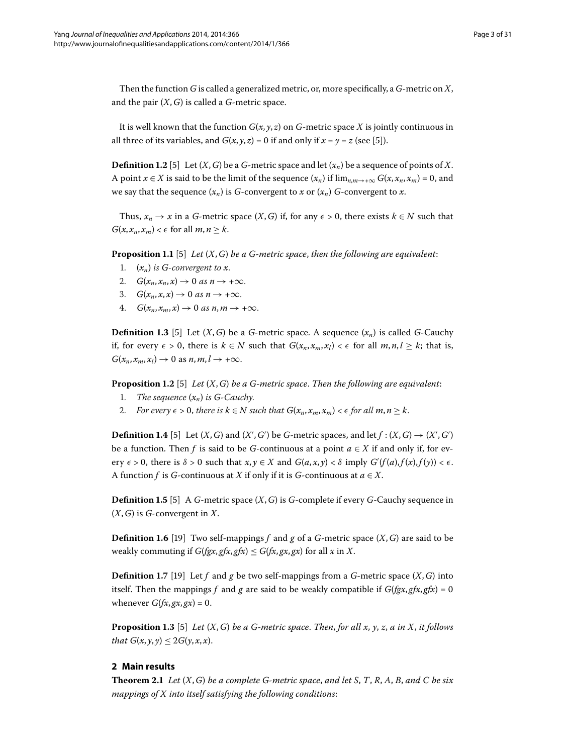Then the function *G* is called a generalized metric, or, more specifically, a *G*-metric on *X*, and the pair (*X*,*G*) is called a *G*-metric space.

It is well known that the function  $G(x, y, z)$  on  $G$ -metric space X is jointly continuous in all three of its variables, and  $G(x, y, z) = 0$  if and only if  $x = y = z$  (see [\[](#page-29-4)5]).

**Definition 1.2** [\[](#page-29-4)5] Let  $(X, G)$  be a  $G$ -metric space and let  $(x_n)$  be a sequence of points of *X*. A point *x* ∈ *X* is said to be the limit of the sequence  $(x_n)$  if  $\lim_{n,m\to\infty} G(x, x_n, x_m) = 0$ , and we say that the sequence  $(x_n)$  is *G*-convergent to *x* or  $(x_n)$  *G*-convergent to *x*.

Thus,  $x_n \to x$  in a *G*-metric space  $(X, G)$  if, for any  $\epsilon > 0$ , there exists  $k \in N$  such that  $G(x, x_n, x_m) < \epsilon$  for all  $m, n \geq k$ .

**Proposition 1.1** [\[](#page-29-4)5] *Let*  $(X, G)$  *be a G-metric space, then the following are equivalent:* 

- 1.  $(x_n)$  *is G-convergent to x.*
- 2.  $G(x_n, x_n, x) \to 0$  as  $n \to +\infty$ .
- 3.  $G(x_n, x, x) \rightarrow 0$  as  $n \rightarrow +\infty$ .
- 4.  $G(x_n, x_m, x) \rightarrow 0$  as  $n, m \rightarrow +\infty$ .

**Definition 1.3** [5[\]](#page-29-4) Let  $(X, G)$  be a *G*-metric space. A sequence  $(x_n)$  is called *G*-Cauchy if, for every  $\epsilon > 0$ , there is  $k \in N$  such that  $G(x_n, x_m, x_l) < \epsilon$  for all *m*, *n*,*l* ≥ *k*; that is,  $G(x_n, x_m, x_l) \rightarrow 0$  as  $n, m, l \rightarrow +\infty$ .

**Proposition 1.2** [\[](#page-29-4)5] *Let*  $(X, G)$  *be a G-metric space. Then the following are equivalent:* 

- 1. *The sequence*  $(x_n)$  *is G-Cauchy.*
- 2. *For every*  $\epsilon > 0$ , there is  $k \in N$  such that  $G(x_n, x_m, x_m) < \epsilon$  for all  $m, n \geq k$ .

**Definition 1.4** [\[](#page-29-4)5] Let  $(X, G)$  and  $(X', G')$  be *G*-metric spaces, and let  $f : (X, G) \rightarrow (X', G')$ be a function. Then *f* is said to be *G*-continuous at a point  $a \in X$  if and only if, for every  $\epsilon > 0$ , there is  $\delta > 0$  such that  $x, y \in X$  and  $G(a, x, y) < \delta$  imply  $G'(f(a), f(x), f(y)) < \epsilon$ . A function *f* is *G*-continuous at *X* if only if it is *G*-continuous at  $a \in X$ .

**Definition 1.5** [5[\]](#page-29-4) A *G*-metric space  $(X, G)$  is *G*-complete if every *G*-Cauchy sequence in (*X*,*G*) is *G*-convergent in *X*.

<span id="page-2-1"></span>**Definition 1.6** [\[](#page-30-7)19] Two self-mappings *f* and *g* of a *G*-metric space  $(X, G)$  are said to be weakly commuting if  $G(fgx, gfx, gfx) \leq G(fx, gx, gx)$  for all *x* in *X*.

<span id="page-2-0"></span>**Definition 1.7** [19] Let *f* and *g* be two self-mappings from a *G*-metric space  $(X, G)$  into itself. Then the mappings *f* and *g* are said to be weakly compatible if  $G(fgx, gfx, gfx) = 0$ whenever  $G(fx, gx, gx) = 0$ .

**Proposition 1.3** [5] *Let*  $(X, G)$  *be a G-metric space. Then, for all x, y, z, a in X, it follows that*  $G(x, y, y) \leq 2G(y, x, x)$ .

### **2 Main results**

**Theorem 2.1** Let  $(X, G)$  be a complete G-metric space, and let S, T, R, A, B, and C be six *mappings of X into itself satisfying the following conditions*: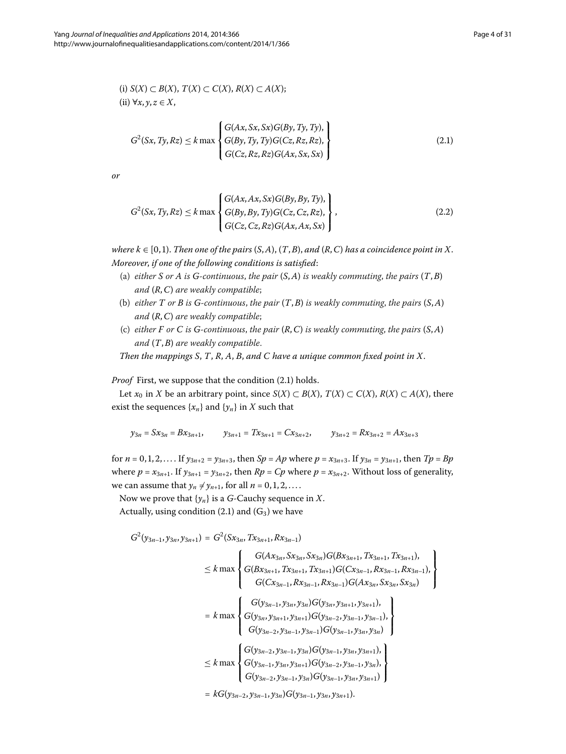(i) 
$$
S(X) \subset B(X)
$$
,  $T(X) \subset C(X)$ ,  $R(X) \subset A(X)$ ;  
(ii)  $\forall x, y, z \in X$ ,

<span id="page-3-1"></span><span id="page-3-0"></span>
$$
G2(Sx, Ty, Rz) \le k \max \begin{cases} G(Ax, Sx, Sx)G(By, Ty, Ty), \\ G(By, Ty, Ty)G(Cz, Rz, Rz), \\ G(Cz, Rz, Rz)G(Ax, Sx, Sx) \end{cases}
$$
\n(2.1)

*or*

$$
G^{2}(Sx, Ty, Rz) \le k \max \begin{cases} G(Ax, Ax, Sx)G(By, By, Ty), \\ G(By, By, Ty)G(Cz, Cz, Rz), \\ G(Cz, Cz, Rz)G(Ax, Ax, Sx) \end{cases},
$$
\n(2.2)

*where*  $k \in [0, 1]$ . *Then one of the pairs*  $(S, A)$ ,  $(T, B)$ , and  $(R, C)$  has a coincidence point in X. *Moreover*, *if one of the following conditions is satisfied*:

- (a) *either S or A is G-continuous*, *the pair* (*S*,*A*) *is weakly commuting*, *the pairs* (*T*,*B*) *and* (*R*,*C*) *are weakly compatible*;
- (b) *either T or B is G-continuous*, *the pair* (*T*,*B*) *is weakly commuting*, *the pairs* (*S*,*A*) *and* (*R*,*C*) *are weakly compatible*;
- (c) *either F or C is G-continuous*, *the pair* (*R*,*C*) *is weakly commuting*, *the pairs* (*S*,*A*) *and* (*T*,*B*) *are weakly compatible*.

*Then the mappings S*, *T*, *R*, *A*, *B*, *and C have a unique common fixed point in X*.

*Proof* First, we suppose that the condition (2.1) holds.

Let *x*<sup>0</sup> in *X* be an arbitrary point, since *S*(*X*) ⊂ *B*(*X*), *T*(*X*) ⊂ *C*(*X*), *R*(*X*) ⊂ *A*(*X*), there exist the sequences  $\{x_n\}$  and  $\{y_n\}$  in *X* such that

$$
y_{3n}=Sx_{3n}=Bx_{3n+1},\qquad y_{3n+1}=Tx_{3n+1}=Cx_{3n+2},\qquad y_{3n+2}=Rx_{3n+2}=Ax_{3n+3}
$$

for  $n = 0, 1, 2, \ldots$  If  $y_{3n+2} = y_{3n+3}$ , then  $Sp = Ap$  where  $p = x_{3n+3}$ . If  $y_{3n} = y_{3n+1}$ , then  $Tp = Bp$ where  $p = x_{3n+1}$ . If  $y_{3n+1} = y_{3n+2}$ , then  $Rp = Cp$  where  $p = x_{3n+2}$ . Without loss of generality, we can assume that  $y_n \neq y_{n+1}$ , for all  $n = 0, 1, 2, \ldots$ .

Now we prove that  $\{y_n\}$  is a *G*-Cauchy sequence in *X*. Actually, using condition (2.1) and  $(G_3)$  we have

$$
G^{2}(y_{3n-1}, y_{3n}, y_{3n+1}) = G^{2}(Sx_{3n}, Tx_{3n+1}, Rx_{3n-1})
$$
  
\n
$$
\leq k \max \begin{cases} G(Ax_{3n}, Sx_{3n}, Sx_{3n})G(Bx_{3n+1}, Tx_{3n+1}, Tx_{3n+1}), \\ G(Bx_{3n+1}, Tx_{3n+1}, Tx_{3n+1})G(Cx_{3n-1}, Rx_{3n-1}, Rx_{3n-1}), \\ G(Cx_{3n-1}, Rx_{3n-1}, Rx_{3n-1})G(Ax_{3n}, Sx_{3n}, Sx_{3n}) \end{cases}
$$
  
\n
$$
= k \max \begin{cases} G(y_{3n-1}, y_{3n}, y_{3n})G(y_{3n}, y_{3n+1}, y_{3n+1}), \\ G(y_{3n-2}, y_{3n-1}, y_{3n-1})G(y_{3n-2}, y_{3n-1}, y_{3n}) \\ G(y_{3n-2}, y_{3n-1}, y_{3n-1})G(y_{3n-1}, y_{3n}, y_{3n}) \end{cases}
$$
  
\n
$$
\leq k \max \begin{cases} G(y_{3n-2}, y_{3n-1}, y_{3n})G(y_{3n-1}, y_{3n}, y_{3n+1}), \\ G(y_{3n-2}, y_{3n-1}, y_{3n})G(y_{3n-2}, y_{3n-1}, y_{3n}), \\ G(y_{3n-2}, y_{3n-1}, y_{3n})G(y_{3n-2}, y_{3n-1}, y_{3n}) \end{cases}
$$

 $= kG(y_{3n-2}, y_{3n-1}, y_{3n})G(y_{3n-1}, y_{3n}, y_{3n+1}).$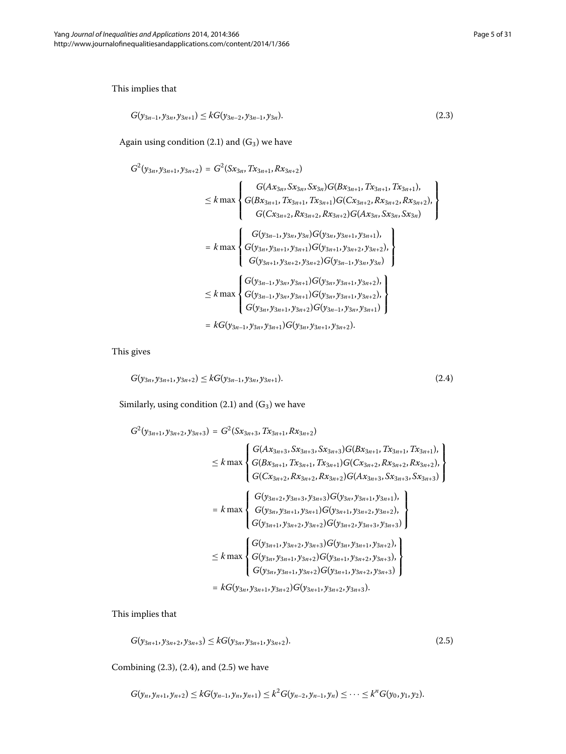This implies that

<span id="page-4-0"></span>
$$
G(y_{3n-1}, y_{3n}, y_{3n+1}) \leq k G(y_{3n-2}, y_{3n-1}, y_{3n}).
$$
\n(2.3)

Again using condition  $(2.1)$  $(2.1)$  $(2.1)$  and  $(G_3)$  we have

$$
G^{2}(y_{3n}, y_{3n+1}, y_{3n+2}) = G^{2}(Sx_{3n}, Tx_{3n+1}, Rx_{3n+2})
$$
\n
$$
\leq k \max \left\{ \begin{aligned} &G(Ax_{3n}, Sx_{3n}, Sx_{3n})G(Bx_{3n+1}, Tx_{3n+1}, Tx_{3n+1}), \\ &G(Bx_{3n+1}, Tx_{3n+1}, Tx_{3n+1})G(Cx_{3n+2}, Rx_{3n+2}, Rx_{3n+2}), \\ &G(Cx_{3n+2}, Rx_{3n+2}, Rx_{3n+2})G(Ax_{3n}, Sx_{3n}, Sx_{3n}) \end{aligned} \right\}
$$
\n
$$
= k \max \left\{ \begin{aligned} &G(y_{3n-1}, y_{3n}, y_{3n})G(y_{3n}, y_{3n+1}, y_{3n+1}), \\ &G(y_{3n+1}, y_{3n+2}, y_{3n+2})G(y_{3n-1}, y_{3n}, y_{3n}) \\ &G(y_{3n-1}, y_{3n}, y_{3n+1})G(y_{3n}, y_{3n+1}, y_{3n+2}), \\ &G(y_{3n-1}, y_{3n}, y_{3n+1})G(y_{3n}, y_{3n+1}, y_{3n+2}), \\ &G(y_{3n-1}, y_{3n}, y_{3n+1})G(y_{3n}, y_{3n+1}, y_{3n+2}), \\ &G(y_{3n-1}, y_{3n}, y_{3n+1})G(y_{3n}, y_{3n+1}, y_{3n+2}), \\ &G(y_{3n-1}, y_{3n}, y_{3n+1})G(y_{3n}, y_{3n+1}, y_{3n+2}). \end{aligned} \right\}
$$

This gives

<span id="page-4-1"></span>
$$
G(y_{3n}, y_{3n+1}, y_{3n+2}) \leq k G(y_{3n-1}, y_{3n}, y_{3n+1}).
$$
\n(2.4)

Similarly, using condition  $(2.1)$  and  $(G_3)$  we have

$$
G^{2}(y_{3n+1}, y_{3n+2}, y_{3n+3}) = G^{2}(Sx_{3n+3}, Tx_{3n+1}, Rx_{3n+2})
$$
\n
$$
\leq k \max \begin{cases} G(Ax_{3n+3}, Sx_{3n+3}, Sx_{3n+3})G(Bx_{3n+1}, Tx_{3n+1}, Tx_{3n+1}), \\ G(Bx_{3n+1}, Tx_{3n+1}, Tx_{3n+1})G(Cx_{3n+2}, Rx_{3n+2}, Rx_{3n+2}), \\ G(Cx_{3n+2}, Rx_{3n+2}, Rx_{3n+2})G(Ax_{3n+3}, Sx_{3n+3}, Sx_{3n+3}) \end{cases}
$$
\n
$$
= k \max \begin{cases} G(y_{3n+2}, y_{3n+3}, y_{3n+3})G(y_{3n}, y_{3n+1}, y_{3n+1}), \\ G(y_{3n}, y_{3n+1}, y_{3n+2})G(y_{3n+2}, y_{3n+2}, y_{3n+2}), \\ G(y_{3n+1}, y_{3n+2}, y_{3n+2})G(y_{3n+2}, y_{3n+3}, y_{3n+3}) \end{cases}
$$
\n
$$
\leq k \max \begin{cases} G(y_{3n+1}, y_{3n+2}, y_{3n+3})G(y_{3n}, y_{3n+1}, y_{3n+2}), \\ G(y_{3n}, y_{3n+1}, y_{3n+2})G(y_{3n+1}, y_{3n+2}, y_{3n+3}), \\ G(y_{3n}, y_{3n+1}, y_{3n+2})G(y_{3n+1}, y_{3n+2}, y_{3n+3}) \end{cases}
$$
\n
$$
= kG(y_{3n}, y_{3n+1}, y_{3n+2})G(y_{3n+1}, y_{3n+2}, y_{3n+3}).
$$

This implies that

<span id="page-4-2"></span>
$$
G(y_{3n+1}, y_{3n+2}, y_{3n+3}) \leq k G(y_{3n}, y_{3n+1}, y_{3n+2}).
$$
\n(2.5)

Combining  $(2.3)$ ,  $(2.4)$ , and  $(2.5)$  we have

$$
G(y_n, y_{n+1}, y_{n+2}) \leq k G(y_{n-1}, y_n, y_{n+1}) \leq k^2 G(y_{n-2}, y_{n-1}, y_n) \leq \cdots \leq k^n G(y_0, y_1, y_2).
$$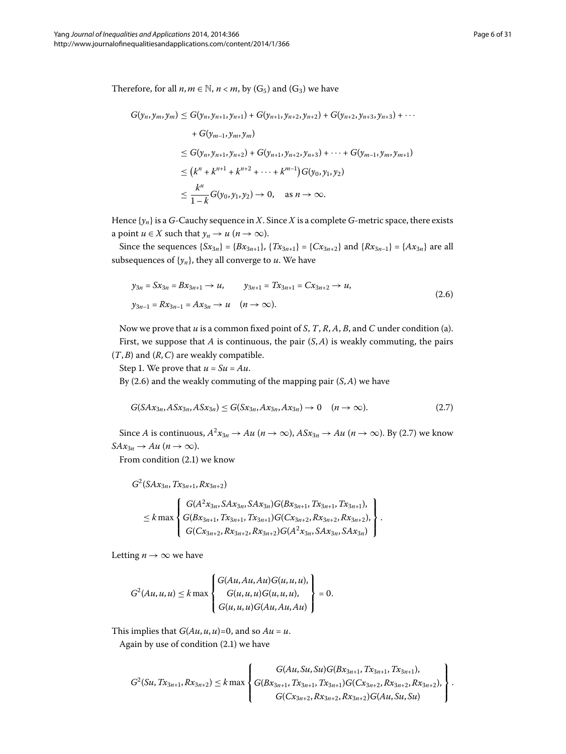Therefore, for all  $n, m \in \mathbb{N}$ ,  $n < m$ , by (G<sub>5</sub>) and (G<sub>3</sub>) we have

$$
G(y_n, y_m, y_m) \le G(y_n, y_{n+1}, y_{n+1}) + G(y_{n+1}, y_{n+2}, y_{n+2}) + G(y_{n+2}, y_{n+3}, y_{n+3}) + \cdots
$$
  
+ 
$$
G(y_{m-1}, y_m, y_m)
$$
  

$$
\le G(y_n, y_{n+1}, y_{n+2}) + G(y_{n+1}, y_{n+2}, y_{n+3}) + \cdots + G(y_{m-1}, y_m, y_{m+1})
$$
  

$$
\le (k^n + k^{n+1} + k^{n+2} + \cdots + k^{m-1}) G(y_0, y_1, y_2)
$$
  

$$
\le \frac{k^n}{1 - k} G(y_0, y_1, y_2) \to 0, \text{ as } n \to \infty.
$$

Hence  $\{y_n\}$  is a *G*-Cauchy sequence in *X*. Since *X* is a complete *G*-metric space, there exists a point *u*  $\in$  *X* such that *y<sub>n</sub>*  $\rightarrow$  *u* (*n*  $\rightarrow \infty$ ).

Since the sequences  $\{Sx_{3n}\} = \{Bx_{3n+1}\}, \{Tx_{3n+1}\} = \{Cx_{3n+2}\}$  and  $\{Rx_{3n-1}\} = \{Ax_{3n}\}$  are all subsequences of  $\{y_n\}$ , they all converge to *u*. We have

<span id="page-5-1"></span><span id="page-5-0"></span>
$$
y_{3n} = Sx_{3n} = Bx_{3n+1} \to u, \qquad y_{3n+1} = Tx_{3n+1} = Cx_{3n+2} \to u,
$$
  

$$
y_{3n-1} = Rx_{3n-1} = Ax_{3n} \to u \quad (n \to \infty).
$$
 (2.6)

Now we prove that *u* is a common fixed point of *S*, *T*, *R*, *A*, *B*, and *C* under condition (a). First, we suppose that *A* is continuous, the pair (*S*,*A*) is weakly commuting, the pairs (*T*,*B*) and (*R*,*C*) are weakly compatible.

Step 1. We prove that  $u = Su = Au$ .

By  $(2.6)$  and the weakly commuting of the mapping pair  $(S, A)$  we have

$$
G(SAx_{3n}, ASx_{3n}, ASx_{3n}) \le G(Sx_{3n}, Ax_{3n}, Ax_{3n}) \to 0 \quad (n \to \infty).
$$
 (2.7)

Since *A* is continuous,  $A^2x_{3n} \to Au$  ( $n \to \infty$ ),  $ASx_{3n} \to Au$  ( $n \to \infty$ ). By (2.7) we know  $SAx_{3n} \rightarrow Au$  (*n*  $\rightarrow \infty$ ).

From condition  $(2.1)$  we know

$$
G^2(SAx_{3n},Tx_{3n+1},Rx_{3n+2})
$$

$$
\leq k \max \left\{\n\begin{array}{l}\nG(A^2x_{3n},S Ax_{3n},S Ax_{3n})G(Bx_{3n+1},Tx_{3n+1},Tx_{3n+1}), \\
G(Bx_{3n+1},Tx_{3n+1},Tx_{3n+1})G(Cx_{3n+2},Rx_{3n+2},Rx_{3n+2}), \\
G(Cx_{3n+2},Rx_{3n+2},Rx_{3n+2})G(A^2x_{3n},S Ax_{3n},S Ax_{3n})\n\end{array}\n\right\}.
$$

Letting  $n \to \infty$  we have

$$
G^{2}(Au, u, u) \leq k \max \left\{ \begin{aligned} G(Au, Au, Au)G(u, u, u), \\ G(u, u, u)G(u, u, u), \\ G(u, u, u)G(Au, Au, Au) \end{aligned} \right\} = 0.
$$

This implies that  $G(Au, u, u) = 0$ , and so  $Au = u$ .

Again by use of condition  $(2.1)$  $(2.1)$  $(2.1)$  we have

$$
G^{2}(Su, Tx_{3n+1}, Rx_{3n+2}) \leq k \max \left\{ \begin{aligned} G(Au, Su, Su)G(Bx_{3n+1}, Tx_{3n+1}, Tx_{3n+1}), \\ G(Bx_{3n+1}, Tx_{3n+1}, Tx_{3n+1})G(Cx_{3n+2}, Rx_{3n+2}, Rx_{3n+2}), \\ G(Cx_{3n+2}, Rx_{3n+2}, Rx_{3n+2})G(Au, Su, Su) \end{aligned} \right\}.
$$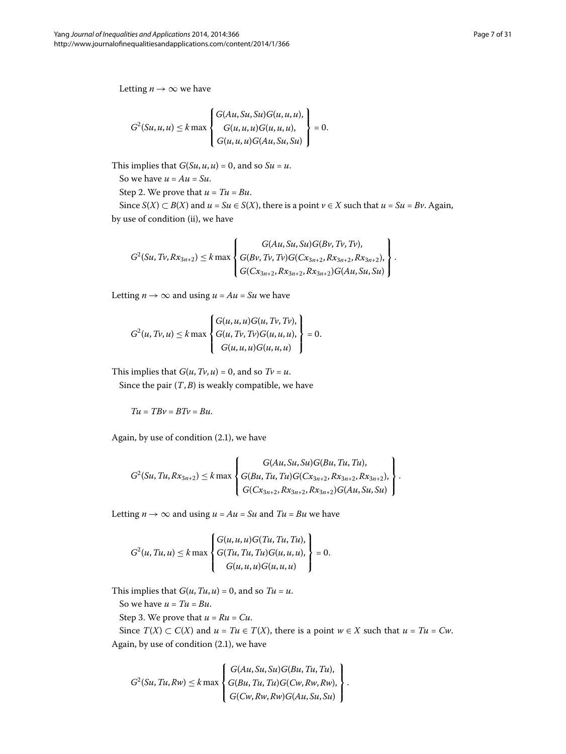Letting  $n \to \infty$  we have

$$
G^{2}(Su, u, u) \leq k \max \begin{cases} G(Au, Su, Su)G(u, u, u), \\ G(u, u, u)G(u, u, u), \\ G(u, u, u)G(Au, Su, Su) \end{cases} = 0.
$$

This implies that  $G(Su, u, u) = 0$ , and so  $Su = u$ .

So we have  $u = Au = Su$ .

Step 2. We prove that  $u = Tu = Bu$ .

Since *S*(*X*) ⊂ *B*(*X*) and *u* = *Su* ∈ *S*(*X*), there is a point *v* ∈ *X* such that *u* = *Su* = *Bv*. Again, by use of condition (ii), we have

$$
G^{2}(Su, Tv, Rx_{3n+2}) \leq k \max \left\{ \begin{aligned} G(Au, Su, Su)G(Bv, Tv, Tv), \\ G(Bv, Tv, Tv)G(Cx_{3n+2}, Rx_{3n+2}, Rx_{3n+2}), \\ G(Cx_{3n+2}, Rx_{3n+2}, Rx_{3n+2})G(Au, Su, Su) \end{aligned} \right\}.
$$

Letting  $n \to \infty$  and using  $u = Au = Su$  we have

$$
G^{2}(u, Tv, u) \leq k \max \begin{cases} G(u, u, u)G(u, Tv, Tv), \\ G(u, Tv, Tv)G(u, u, u), \\ G(u, u, u)G(u, u, u) \end{cases} = 0.
$$

This implies that  $G(u, Tv, u) = 0$ , and so  $Tv = u$ .

Since the pair  $(T, B)$  is weakly compatible, we have

 $Tu = TBv = BTv = Bu.$ 

Again, by use of condition  $(2.1)$ , we have

$$
G^{2}(Su, Tu, Rx_{3n+2}) \leq k \max \left\{ \begin{aligned} G(Au, Su, Su)G(Bu, Tu, Tu), \\ G(Bu, Tu, Tu)G(Cx_{3n+2}, Rx_{3n+2}, Rx_{3n+2}), \\ G(Cx_{3n+2}, Rx_{3n+2}, Rx_{3n+2})G(Au, Su, Su) \end{aligned} \right\}.
$$

Letting  $n \to \infty$  and using  $u = Au = Su$  and  $Tu = Bu$  we have

$$
G^{2}(u, Tu, u) \leq k \max \left\{ \begin{aligned} G(u, u, u)G(Tu, Tu, Tu), \\ G(Tu, Tu, Tu)G(u, u, u), \\ G(u, u, u)G(u, u, u) \end{aligned} \right\} = 0.
$$

This implies that  $G(u, Tu, u) = 0$ , and so  $Tu = u$ .

So we have  $u = Tu = Bu$ .

Step 3. We prove that  $u = Ru = Cu$ .

Since *T*(*X*) ⊂ *C*(*X*) and *u* = *Tu* ∈ *T*(*X*), there is a point *w* ∈ *X* such that *u* = *Tu* = *Cw*. Again, by use of condition  $(2.1)$ , we have

$$
G^{2}(Su, Tu, Rw) \leq k \max \left\{ \begin{aligned} G(Au, Su, Su)G(Bu, Tu, Tu), \\ G(Bu, Tu, Tu)G(Cw, Rw, Rw), \\ G(Cw, Rw, RW)G(Au, Su, Su) \end{aligned} \right\}.
$$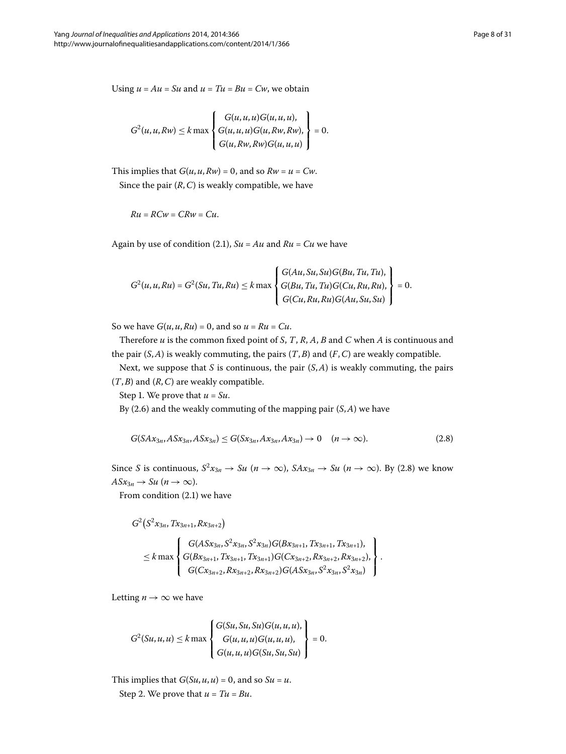Using  $u = Au = Su$  and  $u = Tu = Bu = Cw$ , we obtain

$$
G^{2}(u, u, R w) \leq k \max \left\{ \begin{aligned} G(u, u, u) G(u, u, u), \\ G(u, u, u) G(u, R w, R w), \\ G(u, R w, R w) G(u, u, u) \end{aligned} \right\} = 0.
$$

This implies that  $G(u, u, Rw) = 0$ , and so  $Rw = u = Cw$ . Since the pair  $(R, C)$  is weakly compatible, we have

$$
Ru = RCw = CRw = Cu.
$$

Again by use of condition (2[.](#page-3-0)1),  $S_u = Au$  and  $Ru = Cu$  we have

<span id="page-7-0"></span>
$$
G^{2}(u, u, Ru) = G^{2}(Su, Tu, Ru) \leq k \max \begin{cases} G(Au, Su, Su)G(Bu, Tu, Tu), \\ G(Bu, Tu, Tu)G(Cu, Ru, Ru), \\ G(Cu, Ru, Ru)G(Au, Su, Su) \end{cases} = 0.
$$

So we have  $G(u, u, Ru) = 0$ , and so  $u = Ru = Cu$ .

Therefore *u* is the common fixed point of *S*, *T*, *R*, *A*, *B* and *C* when *A* is continuous and the pair  $(S, A)$  is weakly commuting, the pairs  $(T, B)$  and  $(F, C)$  are weakly compatible.

Next, we suppose that *S* is continuous, the pair (*S*,*A*) is weakly commuting, the pairs (*T*,*B*) and (*R*,*C*) are weakly compatible.

Step 1. We prove that  $u = Su$ .

By  $(2.6)$  and the weakly commuting of the mapping pair  $(S, A)$  we have

$$
G(SAx_{3n}, ASx_{3n}, ASx_{3n}) \le G(Sx_{3n}, Ax_{3n}, Ax_{3n}) \to 0 \quad (n \to \infty).
$$
 (2.8)

Since *S* is continuous,  $S^2x_{3n} \to Su$  ( $n \to \infty$ ),  $SAx_{3n} \to Su$  ( $n \to \infty$ ). By (2.8) we know  $A S x_{3n} \rightarrow S u \ (n \rightarrow \infty).$ 

From condition  $(2.1)$  we have

$$
G^{2}(S^{2}x_{3n}, Tx_{3n+1}, Rx_{3n+2})
$$
\n
$$
\leq k \max \left\{\n\begin{aligned}\nG(ASx_{3n}, S^{2}x_{3n}, S^{2}x_{3n})G( Bx_{3n+1}, Tx_{3n+1}, Tx_{3n+1}), \\
G(Bx_{3n+1}, Tx_{3n+1}, Tx_{3n+1})G( Cx_{3n+2}, Rx_{3n+2}, Rx_{3n+2}), \\
G( Cx_{3n+2}, Rx_{3n+2})G( ASx_{3n}, S^{2}x_{3n}, S^{2}x_{3n})\n\end{aligned}\n\right\}.
$$

Letting  $n \to \infty$  we have

$$
G^{2}(Su, u, u) \leq k \max \left\{ \begin{aligned} G(Su, Su, Su)G(u, u, u), \\ G(u, u, u)G(u, u, u), \\ G(u, u, u)G(Su, Su, Su) \end{aligned} \right\} = 0.
$$

This implies that  $G(Su, u, u) = 0$ , and so  $Su = u$ . Step 2. We prove that  $u = Tu = Bu$ .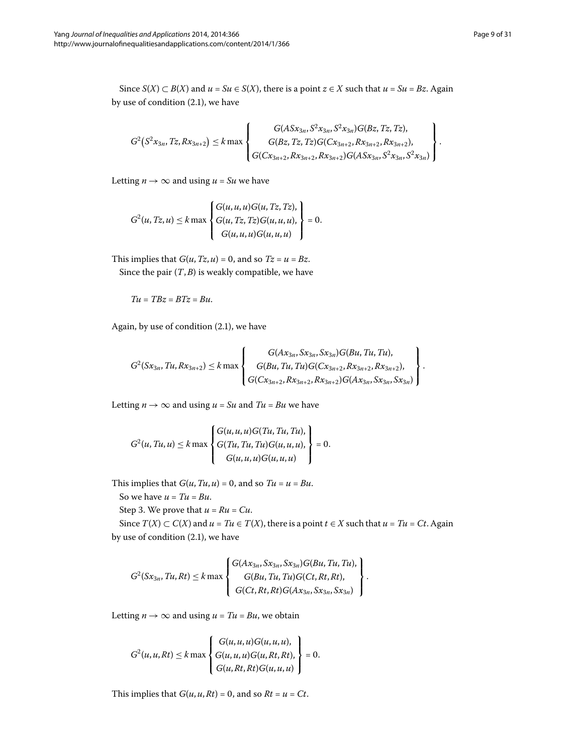Since *S*(*X*) ⊂ *B*(*X*) and *u* = *Su* ∈ *S*(*X*), there is a point *z* ∈ *X* such that *u* = *Su* = *Bz*. Again by use of condition  $(2.1)$ , we have

$$
G^{2}(S^{2}x_{3n},Tz,Rx_{3n+2}) \leq k \max \left\{\n\begin{matrix}\nG(ASx_{3n},S^{2}x_{3n},S^{2}x_{3n})G(Bz,Tz,Tz),\\ \nG(Bz,Tz,Tz)G(Cx_{3n+2},Rx_{3n+2},Rx_{3n+2},Rx_{3n+3})\\ \nG(Cx_{3n+2},Rx_{3n+2})G(ASx_{3n},S^{2}x_{3n},S^{2}x_{3n})\n\end{matrix}\n\right\}.
$$

Letting  $n \rightarrow \infty$  and using  $u = Su$  we have

$$
G^{2}(u, Tz, u) \leq k \max \left\{ \begin{aligned} G(u, u, u)G(u, Tz, Tz), \\ G(u, Tz, Tz)G(u, u, u), \\ G(u, u, u)G(u, u, u) \end{aligned} \right\} = 0.
$$

This implies that  $G(u, Tz, u) = 0$ , and so  $Tz = u = Bz$ . Since the pair  $(T, B)$  is weakly compatible, we have

$$
Tu = TBz = BTz = Bu.
$$

Again, by use of condition  $(2.1)$ , we have

$$
G^{2}(Sx_{3n},Tu,Rx_{3n+2}) \leq k \max \left\{\n\begin{array}{c}\nG(Ax_{3n},Sx_{3n},Sx_{3n})G(Bu,Tu,Tu),\\
G(Bu,Tu,Tu)G(Cx_{3n+2},Rx_{3n+2},Rx_{3n+2}),\\
G(Cx_{3n+2},Rx_{3n+2})G(Ax_{3n},Sx_{3n},Sx_{3n})\n\end{array}\n\right\}.
$$

Letting  $n \rightarrow \infty$  and using  $u = Su$  and  $Tu = Bu$  we have

$$
G^{2}(u, Tu, u) \leq k \max \begin{cases} G(u, u, u)G(Tu, Tu, Tu), \\ G(Tu, Tu, Tu)G(u, u, u), \\ G(u, u, u)G(u, u, u) \end{cases} = 0.
$$

This implies that  $G(u, Tu, u) = 0$ , and so  $Tu = u = Bu$ .

So we have  $u = Tu = Bu$ .

Step 3. We prove that  $u = Ru = Cu$ .

Since  $T(X) \subset C(X)$  and  $u = Tu \in T(X)$ , there is a point  $t \in X$  such that  $u = Tu = Ct$ . Again by use of condition  $(2.1)$ , we have

$$
G^{2}(Sx_{3n},Tu,Rt) \leq k \max \left\{\n\begin{array}{l}\nG(Ax_{3n},Sx_{3n},Sx_{3n})G(Bu,Tu,Tu),\\
G(Bu,Tu,Tu)G(Ct,Rt,Rt),\\
G(Ct,Rt,Rt)G(Ax_{3n},Sx_{3n},Sx_{3n})\n\end{array}\n\right\}.
$$

Letting  $n \to \infty$  and using  $u = Tu = Bu$ , we obtain

$$
G^{2}(u, u, Rt) \leq k \max \begin{cases} G(u, u, u)G(u, u, u), \\ G(u, u, u)G(u, Rt, Rt), \\ G(u, Rt, Rt)G(u, u, u) \end{cases} = 0.
$$

This implies that  $G(u, u, Rt) = 0$ , and so  $Rt = u = Ct$ .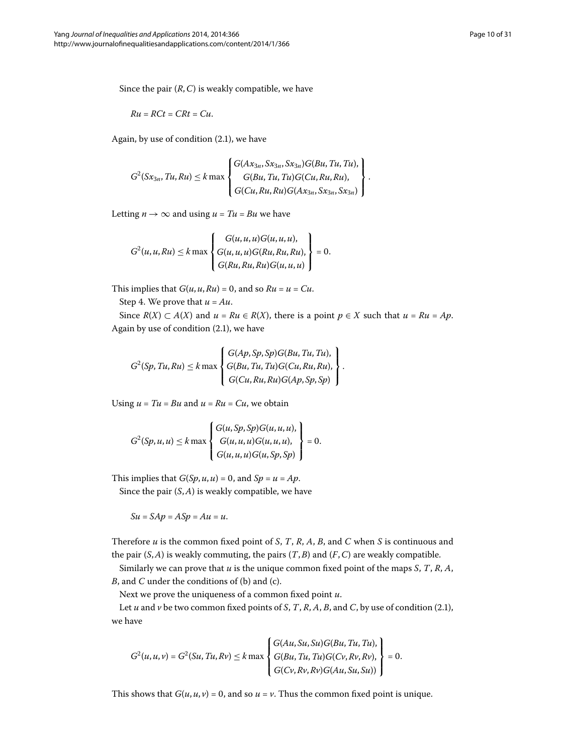Since the pair (*R*,*C*) is weakly compatible, we have

$$
Ru=RCt=CRt=Cu.
$$

Again, by use of condition  $(2.1)$ , we have

$$
G^{2}(Sx_{3n},Tu,Ru) \leq k \max \left\{\n\begin{cases}\nG(Ax_{3n},Sx_{3n},Sx_{3n})G(Bu,Tu,Tu),\\
G(Bu,Tu,Tu)G(Cu,Ru,Ru),\\
G(Cu,Ru,Ru)G(Ax_{3n},Sx_{3n},Sx_{3n})\n\end{cases}\n\right\}.
$$

Letting  $n \rightarrow \infty$  and using  $u = Tu = Bu$  we have

$$
G^{2}(u, u, Ru) \leq k \max \left\{ \begin{aligned} G(u, u, u)G(u, u, u), \\ G(u, u, u)G(Ru, Ru, Ru), \\ G(Ru, Ru, Ru)G(u, u, u) \end{aligned} \right\} = 0.
$$

This implies that  $G(u, u, Ru) = 0$ , and so  $Ru = u = Cu$ .

Step 4. We prove that  $u = Au$ .

Since  $R(X) \subset A(X)$  and  $u = Ru \in R(X)$ , there is a point  $p \in X$  such that  $u = Ru = Ap$ . Again by use of condition  $(2.1)$  $(2.1)$  $(2.1)$ , we have

$$
G^{2}(Sp, Tu, Ru) \leq k \max \left\{ \begin{aligned} G(Ap, Sp, Sp)G(Bu, Tu, Tu), \\ G(Bu, Tu, Tu)G(Cu, Ru, Ru), \\ G(Cu, Ru, Ru)G(Ap, Sp, Sp) \end{aligned} \right\}.
$$

Using  $u = Tu = Bu$  and  $u = Ru = Cu$ , we obtain

$$
G^{2}(Sp, u, u) \leq k \max \begin{cases} G(u, Sp, Sp)G(u, u, u), \\ G(u, u, u)G(u, u, u), \\ G(u, u, u)G(u, Sp, Sp) \end{cases} = 0.
$$

This implies that  $G(Sp, u, u) = 0$ , and  $Sp = u = Ap$ .

Since the pair (*S*,*A*) is weakly compatible, we have

$$
Su = SAp = ASp = Au = u.
$$

Therefore *u* is the common fixed point of *S*, *T*, *R*, *A*, *B*, and *C* when *S* is continuous and the pair  $(S, A)$  is weakly commuting, the pairs  $(T, B)$  and  $(F, C)$  are weakly compatible.

Similarly we can prove that *u* is the unique common fixed point of the maps *S*, *T*, *R*, *A*, *B*, and *C* under the conditions of (b) and (c).

Next we prove the uniqueness of a common fixed point *u*.

Let *u* and *v* be two common fixed points of *S*, *T*, *R*, *A*, *B*, and *C*, by use of condition (2.1), we have

$$
G^{2}(u, u, v) = G^{2}(Su, Tu, Rv) \leq k \max \left\{ \begin{aligned} G(Au, Su, Su)G(Bu, Tu, Tu), \\ G(Bu, Tu, Tu)G(Cv, Rv, Rv), \\ G(Cv, Rv, Rv)G(Au, Su, Su)) \end{aligned} \right\} = 0.
$$

This shows that  $G(u, u, v) = 0$ , and so  $u = v$ . Thus the common fixed point is unique.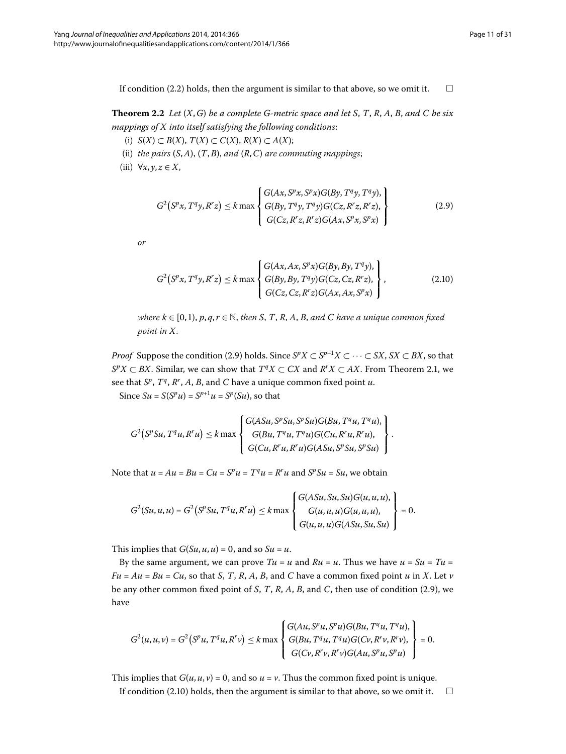<span id="page-10-2"></span>If condition (2.2) holds, then the argument is similar to that above, so we omit it.  $\Box$ 

**Theorem 2.2** Let  $(X, G)$  be a complete G-metric space and let S, T, R, A, B, and C be six *mappings of X into itself satisfying the following conditions*:

- (i) *S*(*X*) ⊂ *B*(*X*), *T*(*X*) ⊂ *C*(*X*), *R*(*X*) ⊂ *A*(*X*);
- (ii) *the pairs* (*S*,*A*), (*T*,*B*), *and* (*R*,*C*) *are commuting mappings*;
- (iii)  $\forall x, y, z \in X$ ,

<span id="page-10-1"></span><span id="page-10-0"></span>
$$
G^{2}(S^{p}x, T^{q}y, R^{r}z) \leq k \max \left\{ \begin{aligned} G(Ax, S^{p}x, S^{p}x)G(By, T^{q}y, T^{q}y), \\ G(By, T^{q}y, T^{q}y)G(Cz, R^{r}z, R^{r}z), \\ G(Cz, R^{r}z, R^{r}z)G(Ax, S^{p}x, S^{p}x) \end{aligned} \right\}
$$
(2.9)

*or*

$$
G^{2}(S^{p}x, T^{q}y, R^{r}z) \leq k \max \begin{cases} G(Ax, Ax, S^{p}x)G(By, By, T^{q}y), \\ G(By, By, T^{q}y)G(Cz, Cz, R^{r}z), \\ G(Cz, Cz, R^{r}z)G(Ax, Ax, S^{p}x) \end{cases},
$$
\n(2.10)

*where*  $k \in [0, 1)$ ,  $p, q, r \in \mathbb{N}$ , then *S*, *T*, *R*, *A*, *B*, and *C* have a unique common fixed *point in X*.

*Proof* Suppose the condition (2[.](#page-10-0)9) holds. Since  $S^pX \subset S^{p-1}X \subset \cdots \subset SX$ ,  $SX \subset BX$ , so that *S*<sup>*p</sup>X* ⊂ *BX*. Similar, we can show that  $T^qX \subset CX$  and  $R^rX \subset AX$ . From Theorem 2.1, we</sup> see that *S<sup>p</sup>*, *T<sup>q</sup>*, *R<sup>r</sup>* , *A*, *B*, and *C* have a unique common fixed point *u*. Since  $Su = S(S^p u) = S^{p+1} u = S^p(Su)$ , so that

$$
G^{2}(S^{p}Su, T^{q}u, R^{r}u) \leq k \max \left\{\n\begin{aligned}\nG(Asu, S^{p}Su, S^{p}Su)G(Bu, T^{q}u, T^{q}u), \\
G(Bu, T^{q}u, T^{q}u)G(Cu, R^{r}u, R^{r}u), \\
G(Cu, R^{r}u, R^{r}u)G(Asu, S^{p}Su, S^{p}su)\n\end{aligned}\n\right\}.
$$

Note that  $u = Au = Bu = Cu = S^p u = T^q u = R^r u$  and  $S^p Su = Su$ , we obtain

$$
G^{2}(Su, u, u) = G^{2}(S^{p}Su, T^{q}u, R^{r}u) \leq k \max \begin{cases} G(Asu, Su, Su)G(u, u, u), \\ G(u, u, u)G(u, u, u), \\ G(u, u, u)G(Asu, Su, Su) \end{cases} = 0.
$$

This implies that  $G(Su, u, u) = 0$ , and so  $Su = u$ .

By the same argument, we can prove  $Tu = u$  and  $Ru = u$ . Thus we have  $u = Su = Tu$  $Fu = Au = Bu = Cu$ , so that *S*, *T*, *R*, *A*, *B*, and *C* have a common fixed point *u* in *X*. Let *v* be any other common fixed point of *S*, *T*, *R*, *A*, *B*, and *C*, then use of condition (2.9), we have

$$
G^{2}(u, u, v) = G^{2}(S^{p}u, T^{q}u, R^{r}v) \leq k \max \left\{ \begin{array}{l} G(Au, S^{p}u, S^{p}u)G(Bu, T^{q}u, T^{q}u), \\ G(Bu, T^{q}u, T^{q}u)G(Cv, R^{r}v, R^{r}v), \\ G(Cv, R^{r}v, R^{r}v)G(Au, S^{p}u, S^{p}u) \end{array} \right\} = 0.
$$

This implies that  $G(u, u, v) = 0$ , and so  $u = v$ . Thus the common fixed point is unique.

If condition (2[.](#page-10-1)10) holds, then the argument is similar to that above, so we omit it.  $\Box$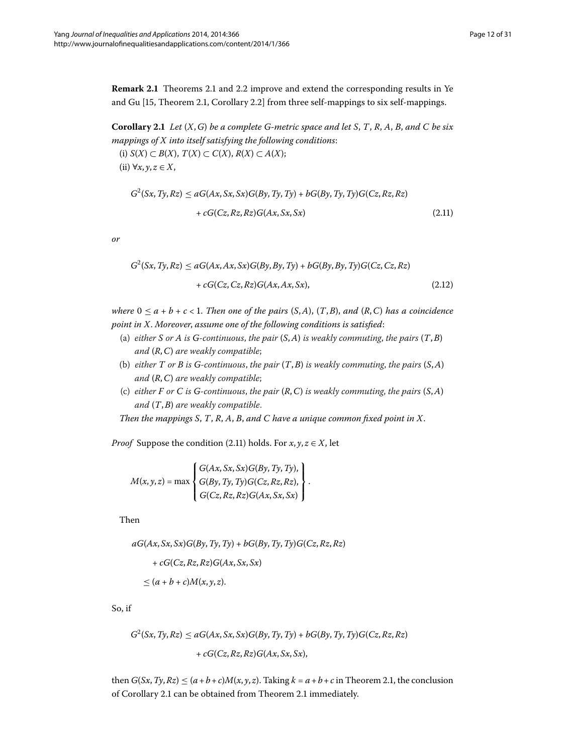<span id="page-11-1"></span><span id="page-11-0"></span>**Remark 2[.](#page-10-2)1** Theorems 2.1 and 2.2 improve and extend the corresponding results in Ye and Gu  $[15,$  $[15,$  Theorem 2.1, Corollary 2.2] from three self-mappings to six self-mappings.

**Corollary 2.1** Let  $(X, G)$  be a complete G-metric space and let S, T, R, A, B, and C be six *mappings of X into itself satisfying the following conditions*: (i) *S*(*X*) ⊂ *B*(*X*), *T*(*X*) ⊂ *C*(*X*), *R*(*X*) ⊂ *A*(*X*);

<span id="page-11-2"></span>(ii) ∀*x*, *y*, *z* ∈ *X*,

$$
G^{2}(Sx, Ty, Rz) \le aG(Ax, Sx, Sx)G(By, Ty, Ty) + bG(By, Ty, Ty)G(Cz, Rz, Rz) + cG(Cz, Rz, Rz)G(Ax, Sx, Sx)
$$
\n(2.11)

*or*

$$
G^{2}(Sx, Ty, Rz) \le aG(Ax, Ax, Sx)G(By, By, Ty) + bG(By, By, Ty)G(Cz, Cz, Rz) + cG(Cz, Cz, Rz)G(Ax, Ax, Sx),
$$
\n(2.12)

*where*  $0 \le a + b + c < 1$ . Then one of the pairs  $(S, A)$ ,  $(T, B)$ , and  $(R, C)$  has a coincidence *point in X*. *Moreover*, *assume one of the following conditions is satisfied*:

- (a) *either S or A is G-continuous*, *the pair* (*S*,*A*) *is weakly commuting*, *the pairs* (*T*,*B*) *and* (*R*,*C*) *are weakly compatible*;
- (b) *either T or B is G-continuous*, *the pair* (*T*,*B*) *is weakly commuting*, *the pairs* (*S*,*A*) *and* (*R*,*C*) *are weakly compatible*;
- (c) *either F or C is G-continuous*, *the pair* (*R*,*C*) *is weakly commuting*, *the pairs* (*S*,*A*) *and* (*T*,*B*) *are weakly compatible*.

*Then the mappings S*, *T*, *R*, *A*, *B*, *and C have a unique common fixed point in X*.

*Proof* Suppose the condition (2.11) holds. For  $x, y, z \in X$ , let

$$
M(x, y, z) = \max \left\{ \begin{aligned} G(Ax, Sx, Sx) G(By, Ty, Ty), \\ G(By, Ty, Ty) G(Cz, Rz, Rz), \\ G(Cz, Rz, Rz) G(Ax, Sx, Sx) \end{aligned} \right\}.
$$

Then

*aG*(*Ax*, *Sx*, *Sx*)*G*(*By*,*Ty*,*Ty*) + *bG*(*By*,*Ty*,*Ty*)*G*(*Cz*,*Rz*,*Rz*)

+ 
$$
cG(Cz, Rz, Rz)G(Ax, Sx, Sx)
$$
  
\n $\leq (a + b + c)M(x, y, z).$ 

So, if

 $G^2(Sx, Ty, Rz) \le aG(Ax, Sx, Sx)G(By, Ty, Ty) + bG(By, Ty, Ty)G(Cz, Rz, Rz)$ + *cG*(*Cz*,*Rz*,*Rz*)*G*(*Ax*, *Sx*, *Sx*),

then  $G(Sx, Ty, Rz) \leq (a+b+c)M(x, y, z)$ [.](#page-2-0) Taking  $k = a+b+c$  in Theorem 2.1, the conclusion of Corollary 2[.](#page-2-0)1 can be obtained from Theorem 2.1 immediately.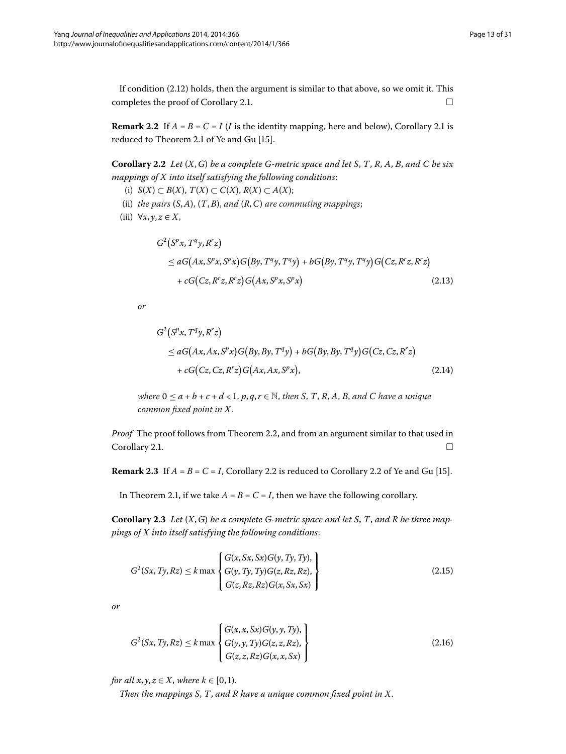<span id="page-12-0"></span>If condition  $(2.12)$  $(2.12)$  $(2.12)$  holds, then the argument is similar to that above, so we omit it. This completes the proof of Corollary 2.1.  $\Box$ 

**Remark 2[.](#page-11-1)2** If  $A = B = C = I$  (*I* is the identity mapping, here and below), Corollary 2.1 is reduced to Theorem 2[.](#page-2-0)1 of Ye and Gu [\[](#page-30-3)15].

**Corollary 2.2** Let  $(X, G)$  be a complete G-metric space and let S, T, R, A, B, and C be six *mappings of X into itself satisfying the following conditions*:

- (i) *S*(*X*) ⊂ *B*(*X*), *T*(*X*) ⊂ *C*(*X*), *R*(*X*) ⊂ *A*(*X*);
- (ii) *the pairs* (*S*,*A*), (*T*,*B*), *and* (*R*,*C*) *are commuting mappings*;
- (iii)  $\forall x, y, z \in X$ ,

$$
G2(Spx, Tqy, Rrz)
$$
  
\n
$$
\leq aG(Ax, Spx, Spx)G(By, Tqy, Tqy) + bG(By, Tqy, Tqy)G(Cz, Rrz, Rrz)
$$
  
\n
$$
+ cG(Cz, Rrz, Rrz)G(Ax, Spx, Spx)
$$
\n(2.13)

*or*

$$
G2(Spx, Tqy, Rrz)
$$
  
\n
$$
\leq aG(Ax, Ax, Spx)G(By, By, Tqy) + bG(By, By, Tqy)G(Cz, Cz, Rrz)
$$
  
\n
$$
+ cG(Cz, Cz, Rrz)G(Ax, Ax, Spx),
$$
\n(2.14)

<span id="page-12-2"></span>*where*  $0 \le a + b + c + d < 1$ ,  $p, q, r \in \mathbb{N}$ , then *S*, *T*, *R*, *A*, *B*, and *C* have a unique *common fixed point in X*.

<span id="page-12-1"></span>*Proof* The proof follows from Theorem 2.2, and from an argument similar to that used in  $\Box$   $\Box$ 

**Remark 2[.](#page-12-0)3** If  $A = B = C = I$ , Corollary 2.2 is reduced to Corollary 2.2 of Ye and Gu [15[\]](#page-30-3).

In Theorem 2[.](#page-2-0)1, if we take  $A = B = C = I$ , then we have the following corollary.

**Corollary .** *Let* (*X*,*G*) *be a complete G-metric space and let S*, *T*, *and R be three mappings of X into itself satisfying the following conditions*:

$$
G^{2}(Sx, Ty, Rz) \leq k \max \begin{cases} G(x, Sx, Sx)G(y, Ty, Ty), \\ G(y, Ty, Ty)G(z, Rz, Rz), \\ G(z, Rz, Rz)G(x, Sx, Sx) \end{cases}
$$
(2.15)

*or*

$$
G^{2}(Sx, Ty, Rz) \le k \max \begin{cases} G(x, x, Sx)G(y, y, Ty), \\ G(y, y, Ty)G(z, z, Rz), \\ G(z, z, Rz)G(x, x, Sx) \end{cases}
$$
(2.16)

*for all x*, *y*,  $z \in X$ , *where*  $k \in [0, 1)$ .

*Then the mappings S*, *T*, *and R have a unique common fixed point in X*.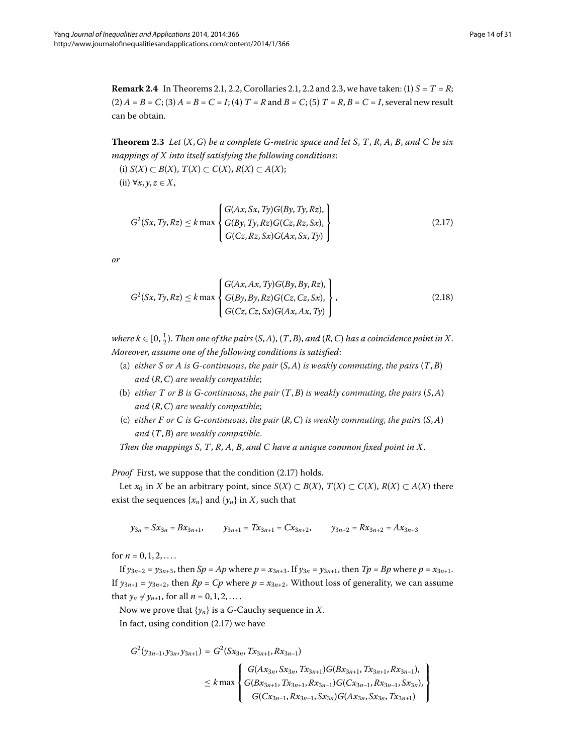<span id="page-13-3"></span>**Theorem 2.3** Let  $(X, G)$  be a complete G-metric space and let S, T, R, A, B, and C be six *mappings of X into itself satisfying the following conditions*:

(i) *S*(*X*) ⊂ *B*(*X*), *T*(*X*) ⊂ *C*(*X*), *R*(*X*) ⊂ *A*(*X*); (ii) ∀*x*, *y*, *z* ∈ *X*,

<span id="page-13-2"></span><span id="page-13-0"></span>
$$
G^{2}(Sx, Ty, Rz) \le k \max \left\{ \begin{aligned} G(Ax, Sx, Ty)G(By, Ty, Rz), \\ G(By, Ty, Rz)G(Cz, Rz, Sx), \\ G(Cz, Rz, Sx)G(Ax, Sx, Ty) \end{aligned} \right\}
$$
(2.17)

*or*

$$
G^{2}(Sx, Ty, Rz) \le k \max \left\{ \begin{aligned} G(Ax, Ax, Ty)G(By, By, Rz), \\ G(By, By, Rz)G(Cz, Cz, Sx), \\ G(Cz, Cz, Sx)G(Ax, Ax, Ty) \end{aligned} \right\},
$$
(2.18)

 $where k \in [0, \frac{1}{2})$ . Then one of the pairs  $(S, A)$ ,  $(T, B)$ , and  $(R, C)$  has a coincidence point in X. *Moreover*, *assume one of the following conditions is satisfied*:

- (a) *either S or A is G-continuous*, *the pair* (*S*,*A*) *is weakly commuting*, *the pairs* (*T*,*B*) *and* (*R*,*C*) *are weakly compatible*;
- (b) *either T or B is G-continuous*, *the pair* (*T*,*B*) *is weakly commuting*, *the pairs* (*S*,*A*) *and* (*R*,*C*) *are weakly compatible*;
- (c) *either F or C is G-continuous*, *the pair* (*R*,*C*) *is weakly commuting*, *the pairs* (*S*,*A*) *and* (*T*,*B*) *are weakly compatible*.

*Then the mappings S*, *T*, *R*, *A*, *B*, *and C have a unique common fixed point in X*.

*Proof* First, we suppose that the condition (2.17) holds.

Let *x*<sup>0</sup> in *X* be an arbitrary point, since *S*(*X*) ⊂ *B*(*X*), *T*(*X*) ⊂ *C*(*X*), *R*(*X*) ⊂ *A*(*X*) there exist the sequences  $\{x_n\}$  and  $\{y_n\}$  in *X*, such that

 $y_{3n} = Sx_{3n} = Bx_{3n+1}$ ,  $y_{3n+1} = Tx_{3n+1} = Cx_{3n+2}$ ,  $y_{3n+2} = Rx_{3n+2} = Ax_{3n+3}$ 

for  $n = 0, 1, 2, \ldots$ .

<span id="page-13-1"></span>If  $y_{3n+2} = y_{3n+3}$ , then  $Sp = Ap$  where  $p = x_{3n+3}$ . If  $y_{3n} = y_{3n+1}$ , then  $Tp = Bp$  where  $p = x_{3n+1}$ . If  $y_{3n+1} = y_{3n+2}$ , then  $Rp = Cp$  where  $p = x_{3n+2}$ . Without loss of generality, we can assume that  $y_n \neq y_{n+1}$ , for all  $n = 0, 1, 2, ...$ 

Now we prove that  $\{y_n\}$  is a *G*-Cauchy sequence in *X*. In fact, using condition  $(2.17)$  we have

$$
G^{2}(y_{3n-1}, y_{3n}, y_{3n+1}) = G^{2}(Sx_{3n}, Tx_{3n+1}, Rx_{3n-1})
$$
  

$$
\leq k \max \left\{ \begin{aligned} G(Ax_{3n}, Sx_{3n}, Tx_{3n+1})G(Bx_{3n+1}, Tx_{3n+1}, Rx_{3n-1}), \\ G(Bx_{3n+1}, Tx_{3n+1}, Rx_{3n-1})G(Cx_{3n-1}, Rx_{3n-1}, Sx_{3n}), \\ G(Cx_{3n-1}, Rx_{3n-1}, Sx_{3n})G(Ax_{3n}, Sx_{3n}, Tx_{3n+1}) \end{aligned} \right\}
$$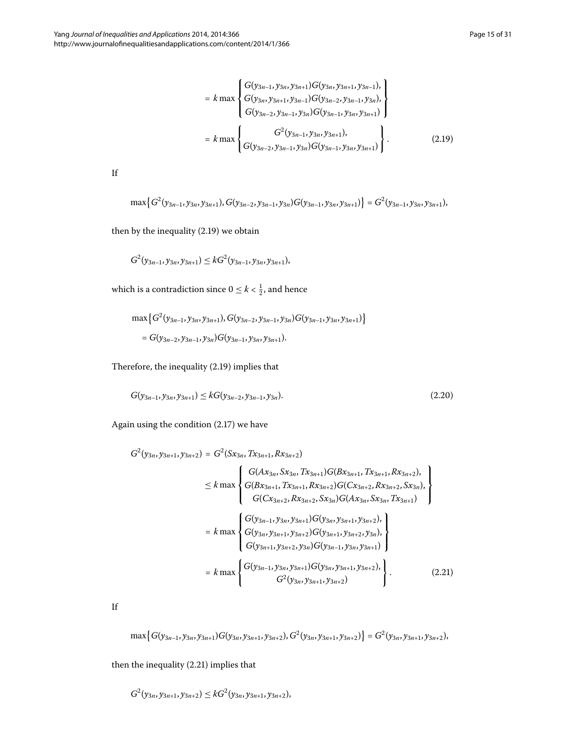$$
= k \max \begin{Bmatrix} G(y_{3n-1}, y_{3n}, y_{3n+1}) G(y_{3n}, y_{3n+1}, y_{3n-1}), \\ G(y_{3n}, y_{3n+1}, y_{3n-1}) G(y_{3n-2}, y_{3n-1}, y_{3n}), \\ G(y_{3n-2}, y_{3n-1}, y_{3n}) G(y_{3n-1}, y_{3n}, y_{3n+1}) \end{Bmatrix}
$$
  
=  $k \max \begin{Bmatrix} G^{2}(y_{3n-1}, y_{3n}, y_{3n+1}), \\ G(y_{3n-2}, y_{3n-1}, y_{3n}) G(y_{3n-1}, y_{3n}, y_{3n+1}) \end{Bmatrix}$ . (2.19)

If

$$
\max\left\{G^2(y_{3n-1},y_{3n},y_{3n+1}),G(y_{3n-2},y_{3n-1},y_{3n})G(y_{3n-1},y_{3n},y_{3n+1})\right\}=G^2(y_{3n-1},y_{3n},y_{3n+1}),
$$

then by the inequality  $(2.19)$  we obtain

$$
G^{2}(y_{3n-1},y_{3n},y_{3n+1}) \leq kG^{2}(y_{3n-1},y_{3n},y_{3n+1}),
$$

which is a contradiction since  $0 \leq k < \frac{1}{2}$ , and hence

<span id="page-14-1"></span>
$$
\max\left\{G^2(y_{3n-1}, y_{3n}, y_{3n+1}), G(y_{3n-2}, y_{3n-1}, y_{3n})G(y_{3n-1}, y_{3n}, y_{3n+1})\right\}
$$
  
=  $G(y_{3n-2}, y_{3n-1}, y_{3n})G(y_{3n-1}, y_{3n}, y_{3n+1}).$ 

<span id="page-14-0"></span>Therefore, the inequality  $(2.19)$  $(2.19)$  $(2.19)$  implies that

$$
G(y_{3n-1}, y_{3n}, y_{3n+1}) \leq kG(y_{3n-2}, y_{3n-1}, y_{3n}).
$$
\n(2.20)

Again using the condition  $(2.17)$  we have

$$
G^{2}(y_{3n}, y_{3n+1}, y_{3n+2}) = G^{2}(Sx_{3n}, Tx_{3n+1}, Rx_{3n+2})
$$
\n
$$
\leq k \max \begin{cases} G(Ax_{3n}, Sx_{3n}, Tx_{3n+1})G(Bx_{3n+1}, Tx_{3n+1}, Rx_{3n+2}), \\ G(Bx_{3n+1}, Tx_{3n+1}, Rx_{3n+2})G(Cx_{3n+2}, Rx_{3n+2}, Sx_{3n}), \\ G(Cx_{3n+2}, Rx_{3n+2}, Sx_{3n})G(Ax_{3n}, Sx_{3n}, Tx_{3n+1}) \end{cases}
$$
\n
$$
= k \max \begin{cases} G(y_{3n-1}, y_{3n}, y_{3n+1})G(y_{3n}, y_{3n+1}, y_{3n+2}), \\ G(y_{3n}, y_{3n+1}, y_{3n+2})G(y_{3n+1}, y_{3n+2}, y_{3n}), \\ G(y_{3n+1}, y_{3n+2}, y_{3n})G(y_{3n-1}, y_{3n}, y_{3n+1}) \end{cases}
$$
\n
$$
= k \max \begin{cases} G(y_{3n-1}, y_{3n}, y_{3n+1})G(y_{3n}, y_{3n+1}, y_{3n+2}), \\ G^{2}(y_{3n}, y_{3n+1}, y_{3n+2}) \end{cases}.
$$
\n(2.21)

If

$$
\max\left\{G(y_{3n-1},y_{3n},y_{3n+1})G(y_{3n},y_{3n+1},y_{3n+2}),G^2(y_{3n},y_{3n+1},y_{3n+2})\right\}=G^2(y_{3n},y_{3n+1},y_{3n+2}),
$$

then the inequality  $(2.21)$  implies that

$$
G^{2}(y_{3n},y_{3n+1},y_{3n+2}) \leq kG^{2}(y_{3n},y_{3n+1},y_{3n+2}),
$$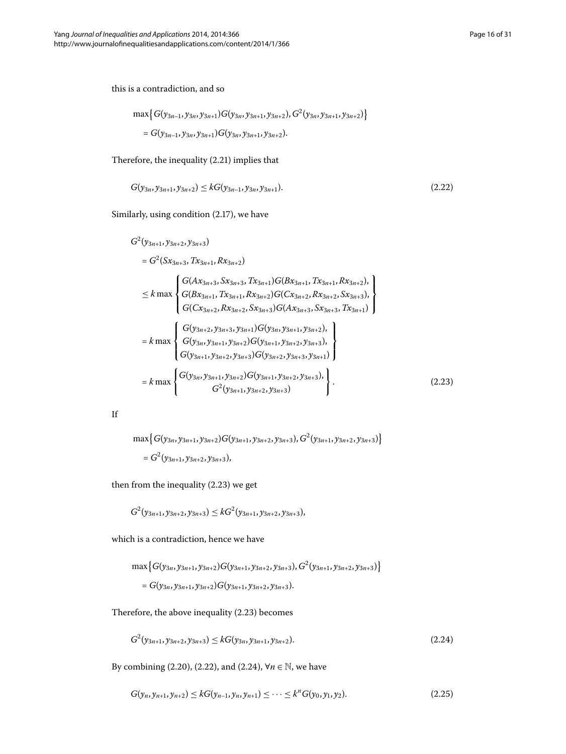this is a contradiction, and so

<span id="page-15-1"></span>
$$
\begin{aligned} \max\left\{G(y_{3n-1},y_{3n},y_{3n+1})G(y_{3n},y_{3n+1},y_{3n+2}),G^2(y_{3n},y_{3n+1},y_{3n+2})\right\} \\ =G(y_{3n-1},y_{3n},y_{3n+1})G(y_{3n},y_{3n+1},y_{3n+2}). \end{aligned}
$$

Therefore, the inequality  $(2.21)$  $(2.21)$  $(2.21)$  implies that

$$
G(y_{3n}, y_{3n+1}, y_{3n+2}) \le k G(y_{3n-1}, y_{3n}, y_{3n+1}).
$$
\n(2.22)

Similarly, using condition (2.17), we have

<span id="page-15-0"></span>
$$
G^{2}(y_{3n+1}, y_{3n+2}, y_{3n+3})
$$
\n
$$
= G^{2}(Sx_{3n+3}, Tx_{3n+1}, Rx_{3n+2})
$$
\n
$$
\leq k \max \begin{cases} G(Ax_{3n+3}, Sx_{3n+3}, Tx_{3n+1})G(Bx_{3n+1}, Tx_{3n+1}, Rx_{3n+2}), \\ G(Bx_{3n+1}, Tx_{3n+1}, Rx_{3n+2})G(Cx_{3n+2}, Rx_{3n+2}, Sx_{3n+3}), \\ G(Cx_{3n+2}, Rx_{3n+2}, Sx_{3n+3})G(Ax_{3n+3}, Sx_{3n+3}, Tx_{3n+1}) \end{cases}
$$
\n
$$
= k \max \begin{cases} G(y_{3n+2}, y_{3n+3}, y_{3n+1})G(y_{3n}, y_{3n+1}, y_{3n+2}), \\ G(y_{3n}, y_{3n+1}, y_{3n+2})G(y_{3n+1}, y_{3n+2}, y_{3n+3}), \\ G(y_{3n+1}, y_{3n+2}, y_{3n+3})G(y_{3n+2}, y_{3n+3}, y_{3n+1}) \end{cases}
$$
\n
$$
= k \max \begin{cases} G(y_{3n}, y_{3n+1}, y_{3n+2})G(y_{3n+1}, y_{3n+2}, y_{3n+3}), \\ G^{2}(y_{3n+1}, y_{3n+2}, y_{3n+3}) \end{cases}
$$
\n
$$
(2.23)
$$

| ٠ | ٦<br>×, |
|---|---------|
| ٠ | ш<br>ш  |
|   |         |

$$
\max\{G(y_{3n}, y_{3n+1}, y_{3n+2})G(y_{3n+1}, y_{3n+2}, y_{3n+3}), G^2(y_{3n+1}, y_{3n+2}, y_{3n+3})\}
$$
  
=  $G^2(y_{3n+1}, y_{3n+2}, y_{3n+3}),$ 

then from the inequality  $(2.23)$  $(2.23)$  $(2.23)$  we get

$$
G^{2}(y_{3n+1},y_{3n+2},y_{3n+3}) \leq kG^{2}(y_{3n+1},y_{3n+2},y_{3n+3}),
$$

which is a contradiction, hence we have

<span id="page-15-3"></span><span id="page-15-2"></span>
$$
\max\left\{G(y_{3n}, y_{3n+1}, y_{3n+2})G(y_{3n+1}, y_{3n+2}, y_{3n+3}), G^2(y_{3n+1}, y_{3n+2}, y_{3n+3})\right\}
$$
  
=  $G(y_{3n}, y_{3n+1}, y_{3n+2})G(y_{3n+1}, y_{3n+2}, y_{3n+3}).$ 

Therefore, the above inequality  $(2.23)$  $(2.23)$  $(2.23)$  becomes

$$
G^{2}(y_{3n+1}, y_{3n+2}, y_{3n+3}) \leq kG(y_{3n}, y_{3n+1}, y_{3n+2}).
$$
\n(2.24)

By combining (2[.](#page-15-2)20), (2.22), and (2.24),  $\forall n \in \mathbb{N}$ , we have

$$
G(y_n, y_{n+1}, y_{n+2}) \leq k G(y_{n-1}, y_n, y_{n+1}) \leq \cdots \leq k^n G(y_0, y_1, y_2). \tag{2.25}
$$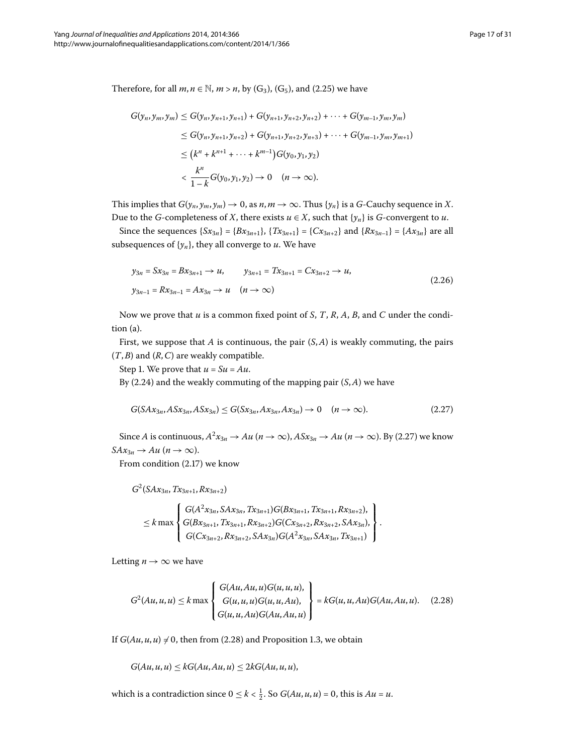Therefore, for all  $m, n \in \mathbb{N}$ ,  $m > n$ , by (G<sub>3</sub>), (G<sub>5</sub>), and (2[.](#page-15-3)25) we have

$$
G(y_n, y_m, y_m) \le G(y_n, y_{n+1}, y_{n+1}) + G(y_{n+1}, y_{n+2}, y_{n+2}) + \cdots + G(y_{m-1}, y_m, y_m)
$$
  
\n
$$
\le G(y_n, y_{n+1}, y_{n+2}) + G(y_{n+1}, y_{n+2}, y_{n+3}) + \cdots + G(y_{m-1}, y_m, y_{m+1})
$$
  
\n
$$
\le (k^n + k^{n+1} + \cdots + k^{m-1}) G(y_0, y_1, y_2)
$$
  
\n
$$
< \frac{k^n}{1 - k} G(y_0, y_1, y_2) \to 0 \quad (n \to \infty).
$$

This implies that  $G(y_n, y_m, y_m) \to 0$ , as  $n, m \to \infty$ . Thus  $\{y_n\}$  is a *G*-Cauchy sequence in *X*. Due to the *G*-completeness of *X*, there exists  $u \in X$ , such that  $\{y_n\}$  is *G*-convergent to *u*.

Since the sequences  $\{Sx_{3n}\} = \{Bx_{3n+1}\}, \{Tx_{3n+1}\} = \{Cx_{3n+2}\}$  and  $\{Rx_{3n-1}\} = \{Ax_{3n}\}$  are all subsequences of  $\{y_n\}$ , they all converge to  $u$ . We have

<span id="page-16-0"></span>
$$
y_{3n} = Sx_{3n} = Bx_{3n+1} \to u, \qquad y_{3n+1} = Tx_{3n+1} = Cx_{3n+2} \to u,
$$
  

$$
y_{3n-1} = Rx_{3n-1} = Ax_{3n} \to u \quad (n \to \infty)
$$
 (2.26)

Now we prove that *u* is a common fixed point of *S*, *T*, *R*, *A*, *B*, and *C* under the condition (a).

First, we suppose that *A* is continuous, the pair (*S*,*A*) is weakly commuting, the pairs (*T*,*B*) and (*R*,*C*) are weakly compatible.

Step 1. We prove that  $u = Su = Au$ .

By  $(2.24)$  and the weakly commuting of the mapping pair  $(S, A)$  we have

$$
G(SAx_{3n}, ASx_{3n}, ASx_{3n}) \le G(Sx_{3n}, Ax_{3n}, Ax_{3n}) \to 0 \quad (n \to \infty).
$$
 (2.27)

Since *A* is continuous,  $A^2x_{3n} \to Au$  ( $n \to \infty$ ),  $A S x_{3n} \to Au$  ( $n \to \infty$ )[.](#page-16-0) By (2.27) we know  $SAx_{3n} \rightarrow Au$  (*n*  $\rightarrow \infty$ ).

From condition  $(2.17)$  we know

$$
G^2(SAx_{3n}, Tx_{3n+1}, Rx_{3n+2})
$$

<span id="page-16-1"></span>
$$
\leq k \max \left\{\n\begin{array}{l}\nG(A^{2}x_{3n},S Ax_{3n},Tx_{3n+1})G(Bx_{3n+1},Tx_{3n+1},Rx_{3n+2}), \\
G(Bx_{3n+1},Tx_{3n+1},Rx_{3n+2})G(Cx_{3n+2},Rx_{3n+2},SAx_{3n}), \\
G(Cx_{3n+2},Rx_{3n+2},SAx_{3n})G(A^{2}x_{3n},SAx_{3n},Tx_{3n+1})\n\end{array}\n\right\}.
$$

Letting  $n \rightarrow \infty$  we have

$$
G^{2}(Au, u, u) \leq k \max \left\{ \begin{array}{l} G(Au, Au, u)G(u, u, u), \\ G(u, u, u)G(u, u, Au), \\ G(u, u, Au)G(Au, Au, u) \end{array} \right\} = kG(u, u, Au)G(Au, Au, u). \quad (2.28)
$$

If  $G(Au, u, u) \neq 0$ , then from (2[.](#page-16-1)28) and Proposition 1.3, we obtain

 $G(Au, u, u) \leq kG(Au, Au, u) \leq 2kG(Au, u, u),$ 

which is a contradiction since  $0 \le k < \frac{1}{2}$ . So  $G(Au, u, u) = 0$ , this is  $Au = u$ .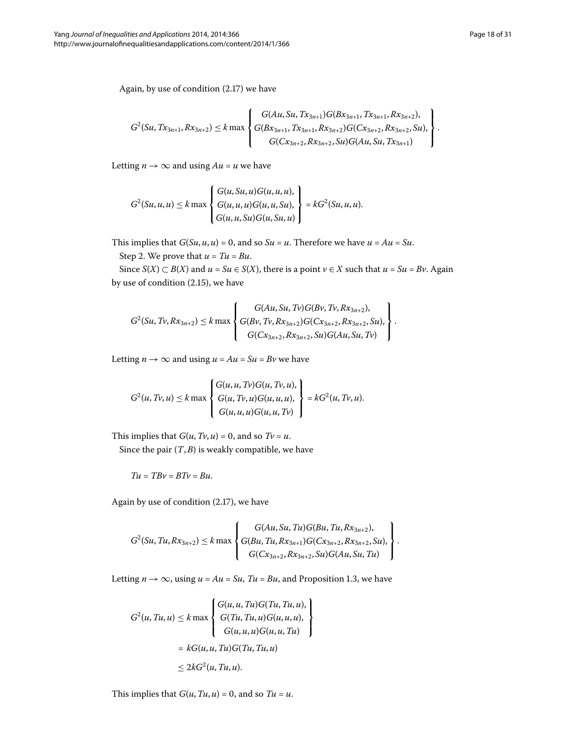Again, by use of condition  $(2.17)$  we have

$$
G^{2}(Su, Tx_{3n+1}, Rx_{3n+2}) \leq k \max \left\{ \begin{aligned} &G(Au, Su, Tx_{3n+1})G(Bx_{3n+1}, Tx_{3n+1}, Rx_{3n+2}), \\ &G(Bx_{3n+1}, Tx_{3n+1}, Rx_{3n+2})G(Cx_{3n+2}, Rx_{3n+2}, Su), \\ &G(Cx_{3n+2}, Rx_{3n+2}, Su)G(Au, Su, Tx_{3n+1}) \end{aligned} \right\}.
$$

Letting  $n \to \infty$  and using  $Au = u$  we have

$$
G^{2}(Su, u, u) \leq k \max \begin{cases} G(u, Su, u)G(u, u, u), \\ G(u, u, u)G(u, u, Su), \\ G(u, u, Su)G(u, Su, u) \end{cases} = kG^{2}(Su, u, u).
$$

This implies that  $G(Su, u, u) = 0$ , and so  $Su = u$ . Therefore we have  $u = Au = Su$ .

Step 2. We prove that  $u = Tu = Bu$ .

Since *S*(*X*) ⊂ *B*(*X*) and *u* = *Su* ∈ *S*(*X*), there is a point *v* ∈ *X* such that *u* = *Su* = *Bv*. Again by use of condition  $(2.15)$ , we have

$$
G^{2}(Su, Tv, Rx_{3n+2}) \leq k \max \left\{ \begin{aligned} G(Au, Su, Tv)G(Bv, Tv, Rx_{3n+2}), \\ G(Bv, Tv, Rx_{3n+2})G(Cx_{3n+2}, Rx_{3n+2}, Su), \\ G(Cx_{3n+2}, Rx_{3n+2}, Su)G(Au, Su, Tv) \end{aligned} \right\}.
$$

Letting  $n \to \infty$  and using  $u = Au = Su = Bv$  we have

$$
G^{2}(u, Tv, u) \leq k \max \left\{ \begin{array}{l} G(u, u, Tv)G(u, Tv, u), \\ G(u, Tv, u)G(u, u, u), \\ G(u, u, u)G(u, u, Tv) \end{array} \right\} = kG^{2}(u, Tv, u).
$$

This implies that  $G(u, Tv, u) = 0$ , and so  $Tv = u$ .

Since the pair  $(T, B)$  is weakly compatible, we have

$$
Tu = TBv = BTv = Bu.\\
$$

Again by use of condition  $(2.17)$ , we have

$$
G^{2}(Su, Tu, Rx_{3n+2}) \leq k \max \left\{ \begin{aligned} G(Au, Su, Tu)G(Bu, Tu, Rx_{3n+2}), \\ G(Bu, Tu, Rx_{3n+1})G(Cx_{3n+2}, Rx_{3n+2}, Su), \\ G(Cx_{3n+2}, Rx_{3n+2}, Su)G(Au, Su, Tu) \end{aligned} \right\}.
$$

Letting  $n \to \infty$ , using  $u = Au = Su$ ,  $Tu = Bu$ , and Proposition 1[.](#page-2-1)3, we have

$$
G^{2}(u, Tu, u) \leq k \max \left\{ \begin{aligned} G(u, u, Tu)G(Tu, Tu, u), \\ G(Tu, Tu, u)G(u, u, u), \\ G(u, u, u)G(u, u, Tu) \\ G(u, u, Tu)G(Tu, Tu, u) \end{aligned} \right\}
$$

$$
\leq 2kG^{2}(u, Tu, u).
$$

This implies that  $G(u, Tu, u) = 0$ , and so  $Tu = u$ .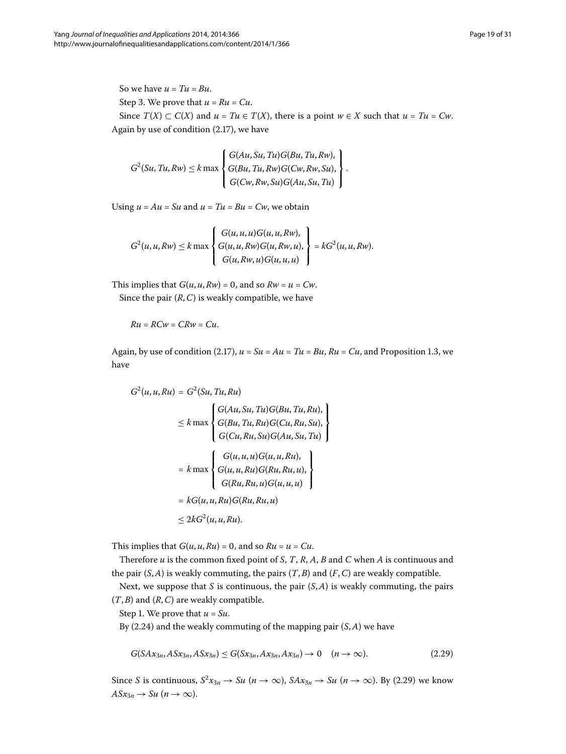So we have  $u = Tu = Bu$ . Step 3. We prove that  $u = Ru = Cu$ . Since  $T(X) \subset C(X)$  and  $u = Tu \in T(X)$ , there is a point  $w \in X$  such that  $u = Tu = Cw$ . Again by use of condition  $(2.17)$ , we have

$$
G^{2}(Su, Tu, Rw) \leq k \max \left\{ \begin{aligned} G(Au, Su, Tu)G(Bu, Tu, Rw), \\ G(Bu, Tu, RW)G(Cw, Rw, Su), \\ G(Cw, Rw, Su)G(Au, Su, Tu) \end{aligned} \right\}.
$$

Using  $u = Au = Su$  and  $u = Tu = Bu = Cw$ , we obtain

$$
G^{2}(u, u, R w) \leq k \max \left\{ \begin{aligned} G(u, u, u)G(u, u, R w), \\ G(u, u, R w)G(u, R w, u), \\ G(u, R w, u)G(u, u, u) \end{aligned} \right\} = k G^{2}(u, u, R w).
$$

This implies that  $G(u, u, Rw) = 0$ , and so  $Rw = u = Cw$ . Since the pair  $(R, C)$  is weakly compatible, we have

$$
Ru = RCw = CRw = Cu.
$$

Again, by use of condition (2.17),  $u = Su = Au = Tu = Bu$ ,  $Ru = Cu$ , and Proposition 1.3, we have

$$
G^{2}(u, u, Ru) = G^{2}(Su, Tu, Ru)
$$
  
\n
$$
\leq k \max \begin{cases} G(Au, Su, Tu)G(Bu, Tu, Ru), \\ G(Bu, Tu, Ru)G(Cu, Ru, Su), \\ G(Cu, Ru, Su)G(Au, Su, Tu) \end{cases}
$$
  
\n
$$
= k \max \begin{cases} G(u, u, u)G(u, u, Ru), \\ G(u, u, Ru)G(Ru, Ru, u), \\ G(Ru, Ru, u)G(u, u, u) \end{cases}
$$
  
\n
$$
= kG(u, u, Ru)G(Ru, Ru, u)
$$
  
\n
$$
\leq 2kG^{2}(u, u, Ru).
$$

This implies that  $G(u, u, Ru) = 0$ , and so  $Ru = u = Cu$ .

Therefore *u* is the common fixed point of *S*, *T*, *R*, *A*, *B* and *C* when *A* is continuous and the pair  $(S, A)$  is weakly commuting, the pairs  $(T, B)$  and  $(F, C)$  are weakly compatible.

Next, we suppose that *S* is continuous, the pair (*S*,*A*) is weakly commuting, the pairs (*T*,*B*) and (*R*,*C*) are weakly compatible.

Step 1. We prove that  $u = Su$ .

By  $(2.24)$  and the weakly commuting of the mapping pair  $(S, A)$  we have

<span id="page-18-0"></span>
$$
G(SAx_{3n}, ASx_{3n}, ASx_{3n}) \le G(Sx_{3n}, Ax_{3n}, Ax_{3n}) \to 0 \quad (n \to \infty).
$$
 (2.29)

Since *S* is continuous,  $S^2x_{3n} \to Su$  ( $n \to \infty$ ),  $S Ax_{3n} \to Su$  ( $n \to \infty$ )[.](#page-18-0) By (2.29) we know  $A S x_{3n} \rightarrow S u \ (n \rightarrow \infty).$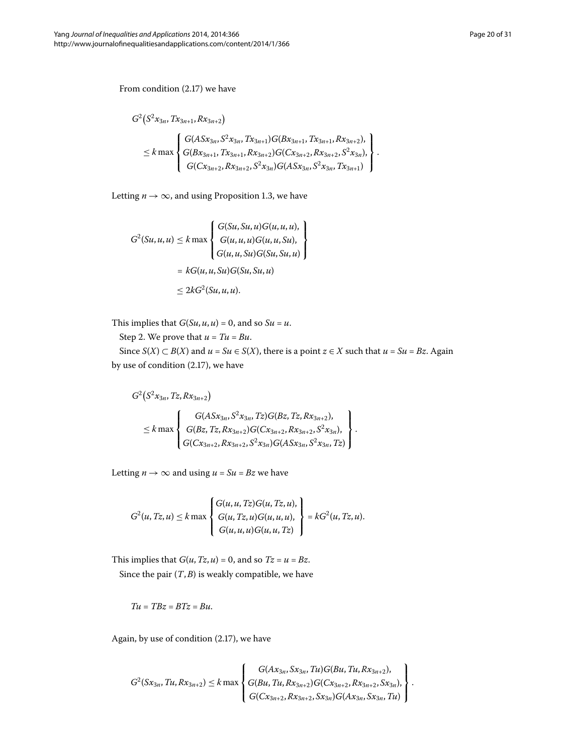From condition  $(2.17)$  we have

$$
G^{2}(S^{2}x_{3n}, Tx_{3n+1}, Rx_{3n+2})
$$
\n
$$
\leq k \max \left\{\n\begin{aligned}\nG(ASx_{3n}, S^{2}x_{3n}, Tx_{3n+1})G( Bx_{3n+1}, Tx_{3n+1}, Rx_{3n+2}), \\
G( Bx_{3n+1}, Tx_{3n+1}, Rx_{3n+2})G( Cx_{3n+2}, Rx_{3n+2}, S^{2}x_{3n}), \\
G( Cx_{3n+2}, Rx_{3n+2}, S^{2}x_{3n})G( ASx_{3n}, S^{2}x_{3n}, Tx_{3n+1})\n\end{aligned}\n\right\}.
$$

Letting  $n \rightarrow \infty$ , and using Proposition 1.3, we have

$$
G^{2}(Su, u, u) \leq k \max \left\{ \begin{aligned} G(Su, Su, u)G(u, u, u), \\ G(u, u, u)G(u, u, Su), \\ G(u, u, Su)G(Su, Su, u) \end{aligned} \right\}
$$
  
=  $kG(u, u, Su)G(Su, Su, u)$   

$$
\leq 2kG^{2}(Su, u, u).
$$

This implies that  $G(Su, u, u) = 0$ , and so  $Su = u$ .

Step 2. We prove that  $u = Tu = Bu$ .

Since *S*(*X*) ⊂ *B*(*X*) and *u* = *Su* ∈ *S*(*X*), there is a point *z* ∈ *X* such that *u* = *Su* = *Bz*. Again by use of condition  $(2.17)$ , we have

$$
G^{2}(S^{2}x_{3n}, Tz, Rx_{3n+2})
$$
\n
$$
\leq k \max \left\{\n\begin{array}{l}\nG(ASx_{3n}, S^{2}x_{3n}, Tz)G(Bz, Tz, Rx_{3n+2}), \\
G(Bz, Tz, Rx_{3n+2})G(Cx_{3n+2}, Rx_{3n+2}, S^{2}x_{3n}), \\
G(Cx_{3n+2}, Rx_{3n+2}, S^{2}x_{3n})G(ASx_{3n}, S^{2}x_{3n}, Tz)\n\end{array}\n\right\}.
$$

Letting  $n \rightarrow \infty$  and using  $u = Su = Bz$  we have

$$
G^{2}(u, Tz, u) \leq k \max \left\{ \begin{array}{l} G(u, u, Tz)G(u, Tz, u), \\ G(u, Tz, u)G(u, u, u), \\ G(u, u, u)G(u, u, Tz) \end{array} \right\} = kG^{2}(u, Tz, u).
$$

This implies that  $G(u, Tz, u) = 0$ , and so  $Tz = u = Bz$ . Since the pair  $(T, B)$  is weakly compatible, we have

$$
Tu = TBz = BTz = Bu.
$$

Again, by use of condition  $(2.17)$ , we have

$$
G^{2}(Sx_{3n}, Tu, Rx_{3n+2}) \leq k \max \left\{ \begin{aligned} G(Ax_{3n}, Sx_{3n}, Tu)G(Bu, Tu, Rx_{3n+2}), \\ G(Bu, Tu, Rx_{3n+2})G(Cx_{3n+2}, Rx_{3n+2}, Sx_{3n}), \\ G(Cx_{3n+2}, Rx_{3n+2}, Sx_{3n})G(Ax_{3n}, Sx_{3n}, Tu) \end{aligned} \right\}.
$$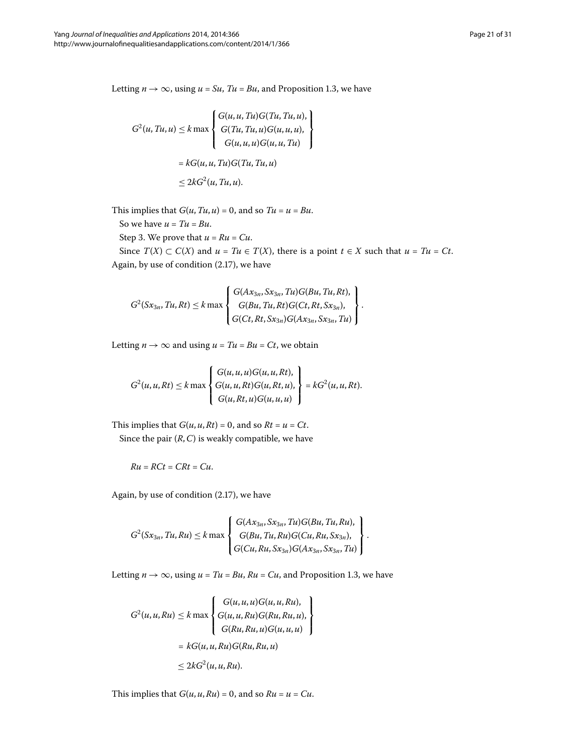Letting  $n \rightarrow \infty$ , using  $u = Su$ ,  $Tu = Bu$ , and Proposition 1[.](#page-2-1)3, we have

$$
G^{2}(u, Tu, u) \leq k \max \begin{cases} G(u, u, Tu)G(Tu, Tu, u), \\ G(Tu, Tu, u)G(u, u, u), \\ G(u, u, u)G(u, u, Tu) \end{cases}
$$

$$
= kG(u, u, Tu)G(Tu, Tu, u)
$$

$$
\leq 2kG^{2}(u, Tu, u).
$$

This implies that  $G(u, Tu, u) = 0$ , and so  $Tu = u = Bu$ .

So we have  $u = Tu = Bu$ .

Step 3. We prove that  $u = Ru = Cu$ .

Since  $T(X) \subset C(X)$  and  $u = Tu \in T(X)$ , there is a point  $t \in X$  such that  $u = Tu = Ct$ . Again, by use of condition  $(2.17)$ , we have

$$
G^{2}(Sx_{3n},Tu,Rt) \leq k \max \left\{ \begin{aligned} G(Ax_{3n},Sx_{3n},Tu)G(Bu,Tu,Rt), \\ G(Bu,Tu,Rt)G(Ct,Rt,Sx_{3n}), \\ G(Ct,Rt,Sx_{3n})G(Ax_{3n},Sx_{3n},Tu) \end{aligned} \right\}.
$$

Letting  $n \to \infty$  and using  $u = Tu = Bu = Ct$ , we obtain

$$
G^{2}(u, u, Rt) \leq k \max \left\{ \begin{aligned} G(u, u, u)G(u, u, Rt), \\ G(u, u, Rt)G(u, Rt, u), \\ G(u, Rt, u)G(u, u, u) \end{aligned} \right\} = kG^{2}(u, u, Rt).
$$

This implies that  $G(u, u, Rt) = 0$ , and so  $Rt = u = Ct$ . Since the pair (*R*,*C*) is weakly compatible, we have

$$
Ru = RCt = CRt = Cu.
$$

Again, by use of condition  $(2.17)$ , we have

$$
G^{2}(Sx_{3n},Tu,Ru) \leq k \max \left\{\n\begin{aligned}\nG(Ax_{3n},Sx_{3n},Tu)G(Bu,Tu,Ru), \\
G(Bu,Tu,Ru)G(Cu,Ru,Sx_{3n}), \\
G(Cu,Ru,Sx_{3n})G(Ax_{3n},Sx_{3n},Tu)\n\end{aligned}\n\right\}.
$$

Letting  $n \to \infty$ , using  $u = Tu = Bu$ ,  $Ru = Cu$ , and Proposition 1[.](#page-2-1)3, we have

$$
G^{2}(u, u, Ru) \leq k \max \left\{ \begin{aligned} G(u, u, u)G(u, u, Ru), \\ G(u, u, Ru)G(Ru, Ru, u), \\ G(Ru, Ru, u)G(u, u, u) \end{aligned} \right\}
$$

$$
= kG(u, u, Ru)G(Ru, Ru, u)
$$

$$
\leq 2kG^{2}(u, u, Ru).
$$

This implies that  $G(u, u, Ru) = 0$ , and so  $Ru = u = Cu$ .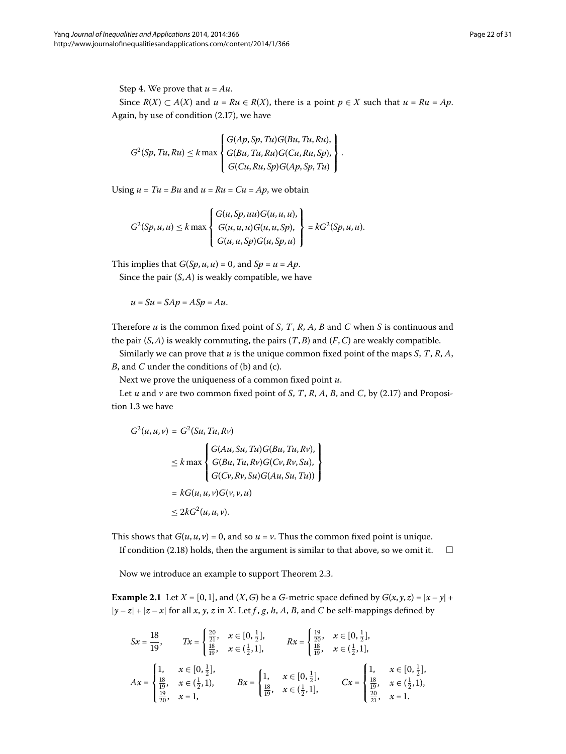Step 4. We prove that  $u = Au$ . Since  $R(X) \subset A(X)$  and  $u = Ru \in R(X)$ , there is a point  $p \in X$  such that  $u = Ru = Ap$ . Again, by use of condition  $(2.17)$ , we have

$$
G^{2}(Sp, Tu, Ru) \leq k \max \left\{ \begin{aligned} &G(Ap, Sp, Tu)G(Bu, Tu, Ru), \\ &G(Bu, Tu, Ru)G(Cu, Ru, Sp), \\ &G(Cu, Ru, Sp)G(Ap, Sp, Tu) \end{aligned} \right\}.
$$

Using  $u = Tu = Bu$  and  $u = Ru = Cu = Ap$ , we obtain

$$
G^{2}(Sp, u, u) \leq k \max \left\{ \begin{aligned} &G(u, Sp, uu)G(u, u, u), \\ &G(u, u, u)G(u, u, Sp), \\ &G(u, u, Sp)G(u, Sp, u) \end{aligned} \right\} = kG^{2}(Sp, u, u).
$$

This implies that  $G(Sp, u, u) = 0$ , and  $Sp = u = Ap$ .

Since the pair (*S*,*A*) is weakly compatible, we have

$$
u = Su = SAp = ASp = Au.
$$

Therefore *u* is the common fixed point of *S*, *T*, *R*, *A*, *B* and *C* when *S* is continuous and the pair  $(S, A)$  is weakly commuting, the pairs  $(T, B)$  and  $(F, C)$  are weakly compatible.

Similarly we can prove that *u* is the unique common fixed point of the maps *S*, *T*, *R*, *A*, *B*, and *C* under the conditions of (b) and (c).

Next we prove the uniqueness of a common fixed point *u*.

Let *u* and *v* are two common fixed point of *S*, *T*, *R*, *A*, *B*, and *C*, by (2[.](#page-13-0)17) and Proposi-tion 1[.](#page-2-1)3 we have

$$
G^{2}(u, u, v) = G^{2}(Su, Tu, Rv)
$$
  
\n
$$
\leq k \max \begin{cases} G(Au, Su, Tu)G(Bu, Tu, Rv), \\ G(Bu, Tu, Rv)G(Cv, Rv, Su), \\ G(Cv, Rv, Su)G(Au, Su, Tu)) \end{cases}
$$
  
\n
$$
= kG(u, u, v)G(v, v, u)
$$
  
\n
$$
\leq 2kG^{2}(u, u, v).
$$

This shows that  $G(u, u, v) = 0$ , and so  $u = v$ . Thus the common fixed point is unique.

If condition  $(2.18)$  holds, then the argument is similar to that above, so we omit it.  $\Box$ 

Now we introduce an example to support Theorem 2[.](#page-13-3)3.

**Example 2.1** Let  $X = [0, 1]$ , and  $(X, G)$  be a *G*-metric space defined by  $G(x, y, z) = |x - y| +$  $|y - z| + |z - x|$  for all *x*, *y*, *z* in *X*. Let *f* , *g*, *h*, *A*, *B*, and *C* be self-mappings defined by

$$
Sx = \frac{18}{19}, \qquad Tx = \begin{cases} \frac{20}{21}, & x \in [0, \frac{1}{2}], \\ \frac{18}{19}, & x \in (\frac{1}{2}, 1], \end{cases} \qquad Rx = \begin{cases} \frac{19}{20}, & x \in [0, \frac{1}{2}], \\ \frac{18}{19}, & x \in (\frac{1}{2}, 1], \end{cases}
$$
\n
$$
Ax = \begin{cases} 1, & x \in [0, \frac{1}{2}], \\ \frac{18}{19}, & x \in (\frac{1}{2}, 1), \\ \frac{18}{20}, & x = 1, \end{cases} \qquad Bx = \begin{cases} 1, & x \in [0, \frac{1}{2}], \\ \frac{18}{19}, & x \in (\frac{1}{2}, 1], \\ \frac{18}{19}, & x \in (\frac{1}{2}, 1], \end{cases} \qquad Cx = \begin{cases} 1, & x \in [0, \frac{1}{2}], \\ \frac{18}{19}, & x \in (\frac{1}{2}, 1), \\ \frac{20}{21}, & x = 1. \end{cases}
$$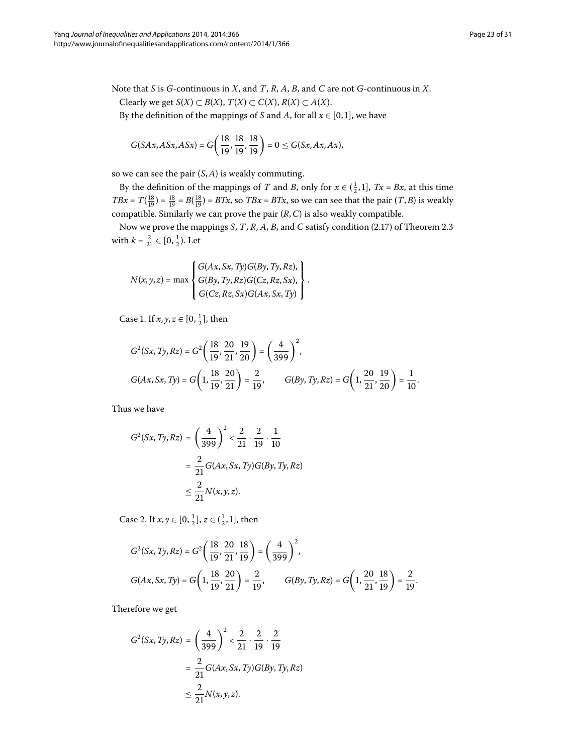Note that *S* is *G*-continuous in *X*, and *T*, *R*, *A*, *B*, and *C* are not *G*-continuous in *X*. *Clearly we get*  $S(X) \subset B(X)$ ,  $T(X) \subset C(X)$ ,  $R(X) \subset A(X)$ .

By the definition of the mappings of *S* and *A*, for all  $x \in [0, 1]$ , we have

$$
G(SAx, ASx, ASx) = G\left(\frac{18}{19}, \frac{18}{19}, \frac{18}{19}\right) = 0 \le G(Sx, Ax, Ax),
$$

so we can see the pair (*S*,*A*) is weakly commuting.

By the definition of the mappings of *T* and *B*, only for  $x \in (\frac{1}{2}, 1]$ ,  $Tx = Bx$ , at this time *TBx* =  $T(\frac{18}{19}) = \frac{18}{19} = B(\frac{18}{19}) = BTx$ , so *TBx* = *BTx*, so we can see that the pair  $(T, B)$  is weakly compatible. Similarly we can prove the pair (*R*,*C*) is also weakly compatible.

Now we prove the mappings *S*, *T*, *R*, *A*, *B*, and *C* satisfy condition (2[.](#page-13-3)17) of Theorem 2.3 with  $k = \frac{2}{21} \in [0, \frac{1}{2})$ . Let

.

$$
N(x, y, z) = \max \begin{cases} G(Ax, Sx, Ty)G(By, Ty, Rz), \\ G(By, Ty, Rz)G(Cz, Rz, Sx), \\ G(Cz, Rz, Sx)G(Ax, Sx, Ty) \end{cases}
$$

Case 1. If  $x, y, z \in [0, \frac{1}{2}]$ , then

$$
G^{2}(Sx, Ty, Rz) = G^{2} \left( \frac{18}{19}, \frac{20}{21}, \frac{19}{20} \right) = \left( \frac{4}{399} \right)^{2},
$$
  

$$
G(Ax, Sx, Ty) = G \left( 1, \frac{18}{19}, \frac{20}{21} \right) = \frac{2}{19}, \qquad G(By, Ty, Rz) = G \left( 1, \frac{20}{21}, \frac{19}{20} \right) = \frac{1}{10}.
$$

Thus we have

$$
G^{2}(Sx, Ty, Rz) = \left(\frac{4}{399}\right)^{2} < \frac{2}{21} \cdot \frac{2}{19} \cdot \frac{1}{10}
$$

$$
= \frac{2}{21}G(Ax, Sx, Ty)G(By, Ty, Rz)
$$

$$
\leq \frac{2}{21}N(x, y, z).
$$

Case 2. If  $x, y \in [0, \frac{1}{2}], z \in (\frac{1}{2}, 1],$  then

$$
G^{2}(Sx, Ty, Rz) = G^{2} \left( \frac{18}{19}, \frac{20}{21}, \frac{18}{19} \right) = \left( \frac{4}{399} \right)^{2},
$$
  

$$
G(Ax, Sx, Ty) = G \left( 1, \frac{18}{19}, \frac{20}{21} \right) = \frac{2}{19}, \qquad G(By, Ty, Rz) = G \left( 1, \frac{20}{21}, \frac{18}{19} \right) = \frac{2}{19}.
$$

Therefore we get

$$
G^{2}(Sx, Ty, Rz) = \left(\frac{4}{399}\right)^{2} < \frac{2}{21} \cdot \frac{2}{19} \cdot \frac{2}{19}
$$

$$
= \frac{2}{21}G(Ax, Sx, Ty)G(By, Ty, Rz)
$$

$$
\leq \frac{2}{21}N(x, y, z).
$$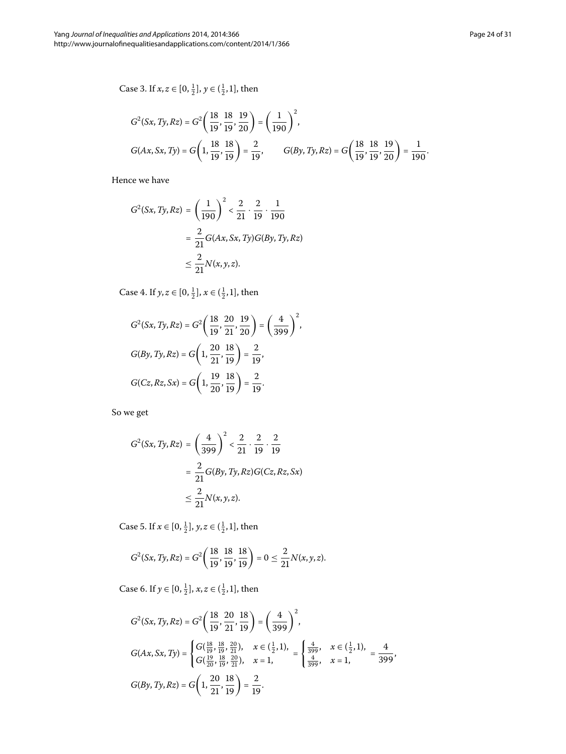Case 3. If  $x, z \in [0, \frac{1}{2}], y \in (\frac{1}{2}, 1]$ , then

$$
G^{2}(Sx, Ty, Rz) = G^{2} \left( \frac{18}{19}, \frac{18}{19}, \frac{19}{20} \right) = \left( \frac{1}{190} \right)^{2},
$$
  

$$
G(Ax, Sx, Ty) = G \left( 1, \frac{18}{19}, \frac{18}{19} \right) = \frac{2}{19}, \qquad G(By, Ty, Rz) = G \left( \frac{18}{19}, \frac{18}{19}, \frac{19}{20} \right) = \frac{1}{190}.
$$

Hence we have

$$
G^{2}(Sx, Ty, Rz) = \left(\frac{1}{190}\right)^{2} < \frac{2}{21} \cdot \frac{2}{19} \cdot \frac{1}{190}
$$

$$
= \frac{2}{21}G(Ax, Sx, Ty)G(By, Ty, Rz)
$$

$$
\leq \frac{2}{21}N(x, y, z).
$$

Case 4. If  $y, z \in [0, \frac{1}{2}], x \in (\frac{1}{2}, 1]$ , then

$$
G^{2}(Sx, Ty, Rz) = G^{2}\left(\frac{18}{19}, \frac{20}{21}, \frac{19}{20}\right) = \left(\frac{4}{399}\right)^{2},
$$
  

$$
G(By, Ty, Rz) = G\left(1, \frac{20}{21}, \frac{18}{19}\right) = \frac{2}{19},
$$
  

$$
G(Cz, Rz, Sx) = G\left(1, \frac{19}{20}, \frac{18}{19}\right) = \frac{2}{19}.
$$

So we get

$$
G^{2}(Sx, Ty, Rz) = \left(\frac{4}{399}\right)^{2} < \frac{2}{21} \cdot \frac{2}{19} \cdot \frac{2}{19}
$$

$$
= \frac{2}{21}G(By, Ty, Rz)G(Cz, Rz, Sx)
$$

$$
\leq \frac{2}{21}N(x, y, z).
$$

Case 5. If  $x \in [0, \frac{1}{2}], y, z \in (\frac{1}{2}, 1],$  then

$$
G^{2}(Sx, Ty, Rz) = G^{2}\left(\frac{18}{19}, \frac{18}{19}, \frac{18}{19}\right) = 0 \le \frac{2}{21}N(x, y, z).
$$

Case 6. If  $y \in [0, \frac{1}{2}], x, z \in (\frac{1}{2}, 1],$  then

$$
G^{2}(Sx, Ty, Rz) = G^{2}\left(\frac{18}{19}, \frac{20}{21}, \frac{18}{19}\right) = \left(\frac{4}{399}\right)^{2},
$$
  
\n
$$
G(Ax, Sx, Ty) = \begin{cases} G(\frac{18}{19}, \frac{18}{19}, \frac{20}{21}), & x \in (\frac{1}{2}, 1), \\ G(\frac{19}{20}, \frac{18}{19}, \frac{20}{21}), & x = 1, \end{cases} = \begin{cases} \frac{4}{399}, & x \in (\frac{1}{2}, 1), \\ \frac{4}{399}, & x = 1, \end{cases} = \frac{4}{399},
$$
  
\n
$$
G(By, Ty, Rz) = G\left(1, \frac{20}{21}, \frac{18}{19}\right) = \frac{2}{19}.
$$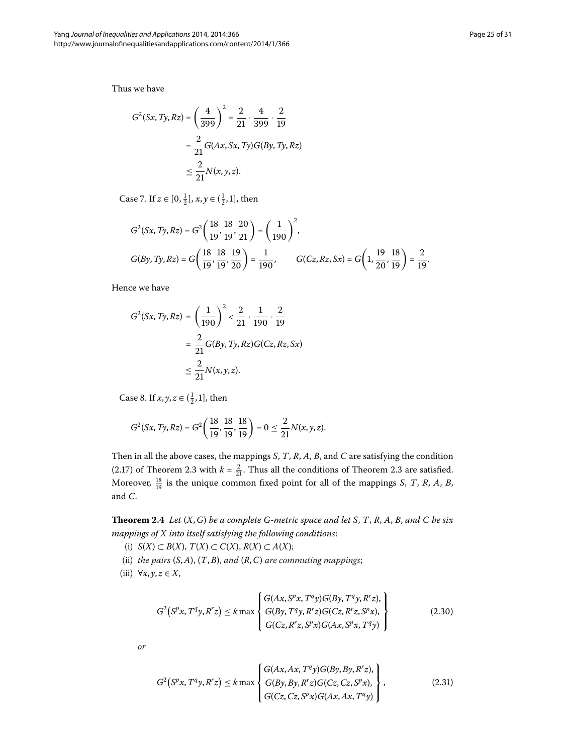Thus we have

$$
G^{2}(Sx, Ty, Rz) = \left(\frac{4}{399}\right)^{2} = \frac{2}{21} \cdot \frac{4}{399} \cdot \frac{2}{19}
$$

$$
= \frac{2}{21} G(Ax, Sx, Ty) G(By, Ty, Rz)
$$

$$
\leq \frac{2}{21} N(x, y, z).
$$

Case 7. If  $z \in [0, \frac{1}{2}], x, y \in (\frac{1}{2}, 1]$ , then

$$
G^{2}(Sx, Ty, Rz) = G^{2}\left(\frac{18}{19}, \frac{18}{19}, \frac{20}{21}\right) = \left(\frac{1}{190}\right)^{2},
$$
  

$$
G(By, Ty, Rz) = G\left(\frac{18}{19}, \frac{18}{19}, \frac{19}{20}\right) = \frac{1}{190}, \qquad G(Cz, Rz, Sx) = G\left(1, \frac{19}{20}, \frac{18}{19}\right) = \frac{2}{19}.
$$

Hence we have

$$
G^{2}(Sx, Ty, Rz) = \left(\frac{1}{190}\right)^{2} < \frac{2}{21} \cdot \frac{1}{190} \cdot \frac{2}{19}
$$

$$
= \frac{2}{21}G(By, Ty, Rz)G(Cz, Rz, Sx)
$$

$$
\leq \frac{2}{21}N(x, y, z).
$$

Case 8. If  $x, y, z \in (\frac{1}{2}, 1]$ , then

$$
G^{2}(Sx, Ty, Rz) = G^{2}\left(\frac{18}{19}, \frac{18}{19}, \frac{18}{19}\right) = 0 \le \frac{2}{21}N(x, y, z).
$$

<span id="page-24-2"></span>Then in all the above cases, the mappings *S*, *T*, *R*, *A*, *B*, and *C* are satisfying the condition (2[.](#page-13-3)17) of Theorem 2.3 with  $k = \frac{2}{21}$ . Thus all the conditions of Theorem 2.3 are satisfied. Moreover,  $\frac{18}{19}$  is the unique common fixed point for all of the mappings *S*, *T*, *R*, *A*, *B*, and *C*.

**Theorem .** *Let* (*X*,*G*) *be a complete G-metric space and let S*, *T*, *R*, *A*, *B*, *and C be six mappings of X into itself satisfying the following conditions*:

- (i) *S*(*X*) ⊂ *B*(*X*), *T*(*X*) ⊂ *C*(*X*), *R*(*X*) ⊂ *A*(*X*);
- (ii) *the pairs* (*S*,*A*), (*T*,*B*), *and* (*R*,*C*) *are commuting mappings*;
- (iii)  $\forall x, y, z \in X$ ,

<span id="page-24-1"></span><span id="page-24-0"></span>
$$
G^{2}(S^{p}x, T^{q}y, R^{r}z) \leq k \max \begin{cases} G(Ax, S^{p}x, T^{q}y)G(By, T^{q}y, R^{r}z), \\ G(By, T^{q}y, R^{r}z)G(Cz, R^{r}z, S^{p}x), \\ G(Cz, R^{r}z, S^{p}x)G(Ax, S^{p}x, T^{q}y) \end{cases}
$$
(2.30)

*or*

$$
G^{2}(S^{p}x, T^{q}y, R^{r}z) \leq k \max \begin{cases} G(Ax, Ax, T^{q}y)G(By, By, R^{r}z), \\ G(By, By, R^{r}z)G(Cz, Cz, S^{p}x), \\ G(Cz, Cz, S^{p}x)G(Ax, Ax, T^{q}y) \end{cases},
$$
\n(2.31)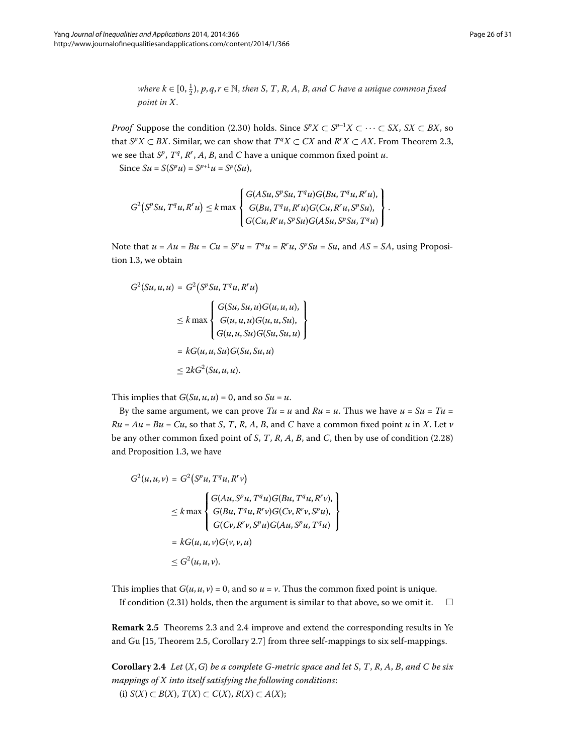$where k \in [0, \frac{1}{2}), p, q, r \in \mathbb{N}, then k, T, R, A, B, and C have a unique common fixed$ *point in X*.

*Proof* Suppose the condition (2.30) holds. Since  $S^pX \subset S^{p-1}X \subset \cdots \subset SX$ ,  $SX \subset BX$ , so that *S<sup>p</sup>X* ⊂ *BX*. Similar, we can show that  $T^qX \subset CX$  and  $R^rX \subset AX$ . From Theorem 2.3, we see that *S<sup>p</sup>*, *T<sup>q</sup>*, *R<sup>r</sup>* , *A*, *B*, and *C* have a unique common fixed point *u*.  $Since \, Su = S(S^p u) = S^{p+1} u = S^p(S u),$ 

 $G^2(S^pSu, T^qu, R^r u) \leq k \max$  $\sqrt{ }$  $\int$  $\mathbf{I}$  $G(ASu, S^pSu, T^qu)G(Bu, T^qu, R^ru),$  $G(Bu, T<sup>q</sup>u, R<sup>r</sup>u)G(Cu, R<sup>r</sup>u, S<sup>p</sup>Su),$ *G*(*Cu*,*R<sup>r</sup> u*, *SpSu*)*G*(*ASu*, *SpSu*,*Tqu*)  $\mathbf{I}$  $\overline{\mathcal{N}}$  $\bf{J}$ .

Note that  $u = Au = Bu = Cu = S^p u = T^q u = R^r u$ ,  $S^p Su = Su$ , and  $AS = SA$ , using Proposition 1.3, we obtain

$$
G^{2}(Su, u, u) = G^{2}(S^{p}Su, T^{q}u, R^{r}u)
$$
  
\n
$$
\leq k \max \begin{cases} G(Su, Su, u)G(u, u, u), \\ G(u, u, u)G(u, u, Su), \\ G(u, u, Su)G(Su, Su, u) \end{cases}
$$
  
\n
$$
= kG(u, u, Su)G(Su, Su, u)
$$
  
\n
$$
\leq 2kG^{2}(Su, u, u).
$$

This implies that  $G(Su, u, u) = 0$ , and so  $Su = u$ .

By the same argument, we can prove  $Tu = u$  and  $Ru = u$ . Thus we have  $u = Su = Tu$  $Ru = Au = Bu = Cu$ , so that *S*, *T*, *R*, *A*, *B*, and *C* have a common fixed point *u* in *X*. Let *v* be any other common fixed point of  $S$ ,  $T$ ,  $R$ ,  $A$ ,  $B$ , and  $C$ , then by use of condition (2[.](#page-16-1)28) and Proposition 1[.](#page-2-1)3, we have

$$
G^{2}(u, u, v) = G^{2}(S^{p}u, T^{q}u, R^{r}v)
$$
  
\n
$$
\leq k \max \begin{cases} G(Au, S^{p}u, T^{q}u)G(Bu, T^{q}u, R^{r}v), \\ G(Bu, T^{q}u, R^{r}v)G(Cv, R^{r}v, S^{p}u), \\ G(Cv, R^{r}v, S^{p}u)G(Au, S^{p}u, T^{q}u) \end{cases}
$$
  
\n
$$
= kG(u, u, v)G(v, v, u)
$$
  
\n
$$
\leq G^{2}(u, u, v).
$$

<span id="page-25-0"></span>This implies that  $G(u, u, v) = 0$ , and so  $u = v$ . Thus the common fixed point is unique.

If condition (2.31) holds, then the argument is similar to that above, so we omit it.  $\Box$ 

**Remark 2[.](#page-24-2)5** Theorems 2.3 and 2.4 improve and extend the corresponding results in Ye and Gu [\[](#page-30-3)15, Theorem 2.5, Corollary 2.7] from three self-mappings to six self-mappings.

**Corollary .** *Let* (*X*,*G*) *be a complete G-metric space and let S*, *T*, *R*, *A*, *B*, *and C be six mappings of X into itself satisfying the following conditions*: (i) *S*(*X*) ⊂ *B*(*X*), *T*(*X*) ⊂ *C*(*X*), *R*(*X*) ⊂ *A*(*X*);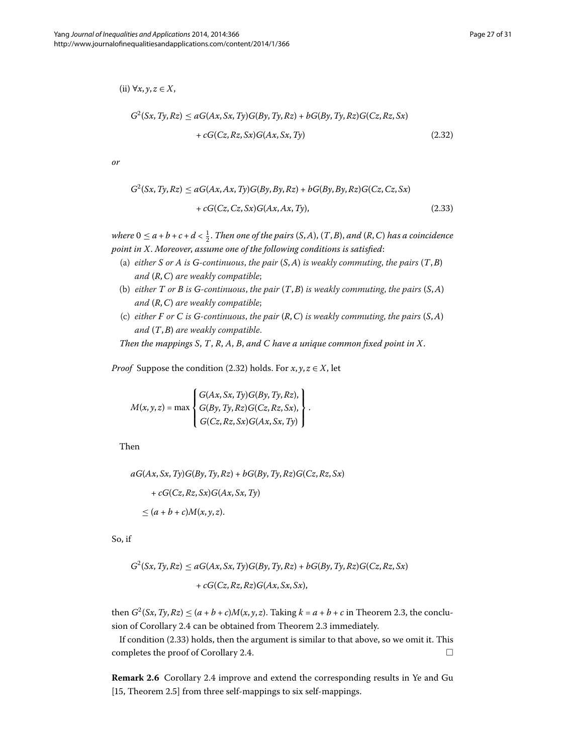<span id="page-26-1"></span><span id="page-26-0"></span>(ii) ∀*x*, *y*, *z* ∈ *X*,

$$
G^{2}(Sx, Ty, Rz) \le aG(Ax, Sx, Ty)G(By, Ty, Rz) + bG(By, Ty, Rz)G(Cz, Rz, Sx) + cG(Cz, Rz, Sx)G(Ax, Sx, Ty)
$$
\n(2.32)

*or*

$$
G^{2}(Sx, Ty, Rz) \le aG(Ax, Ax, Ty)G(By, By, Rz) + bG(By, By, Rz)G(Cz, Cz, Sx) + cG(Cz, Cz, Sx)G(Ax, Ax, Ty),
$$
\n(2.33)

*where*  $0 \le a + b + c + d < \frac{1}{2}$ . Then one of the pairs (S, A), (T, B), and (R, C) has a coincidence *point in X*. *Moreover*, *assume one of the following conditions is satisfied*:

- (a) *either S or A is G*-continuous, the pair  $(S, A)$  *is weakly commuting, the pairs*  $(T, B)$ *and* (*R*,*C*) *are weakly compatible*;
- (b) *either T or B is G-continuous*, *the pair* (*T*,*B*) *is weakly commuting*, *the pairs* (*S*,*A*) *and* (*R*,*C*) *are weakly compatible*;
- (c) *either F or C is G-continuous*, *the pair* (*R*,*C*) *is weakly commuting*, *the pairs* (*S*,*A*) *and* (*T*,*B*) *are weakly compatible*.

*Then the mappings S*, *T*, *R*, *A*, *B*, *and C have a unique common fixed point in X*.

*Proof* Suppose the condition (2.32) holds. For  $x, y, z \in X$ , let

$$
M(x,y,z) = \max \left\{ \begin{aligned} & G(Ax, Sx, Ty)G(By, Ty, Rz), \\ & G(By, Ty, Rz)G(Cz, Rz, Sx), \\ & G(Cz, Rz, Sx)G(Ax, Sx, Ty) \end{aligned} \right\}.
$$

Then

$$
aG(Ax, Sx, Ty)G(By, Ty, Rz) + bG(By, Ty, Rz)G(Cz, Rz, Sx)
$$

$$
+ cG(Cz, Rz, Sx)G(Ax, Sx, Ty)
$$

$$
\leq (a + b + c)M(x, y, z).
$$

So, if

$$
G2(Sx, Ty, Rz) \le aG(Ax, Sx, Ty)G(By, Ty, Rz) + bG(By, Ty, Rz)G(Cz, Rz, Sx)
$$

$$
+ cG(Cz, Rz, Rz)G(Ax, Sx, Sx),
$$

then  $G^2(Sx, Ty, Rz) \le (a + b + c)M(x, y, z)$ . Taking  $k = a + b + c$  in Theorem 2.3, the conclu-sion of Corollary 2[.](#page-13-3)4 can be obtained from Theorem 2.3 immediately.

If condition (2.33) holds, then the argument is similar to that above, so we omit it. This completes the proof of Corollary 2[.](#page-25-0)4.  $\Box$ 

**Remark 2[.](#page-25-0)6** Corollary 2.4 improve and extend the corresponding results in Ye and Gu  $[15,$  $[15,$  Theorem 2.5 $]$  from three self-mappings to six self-mappings.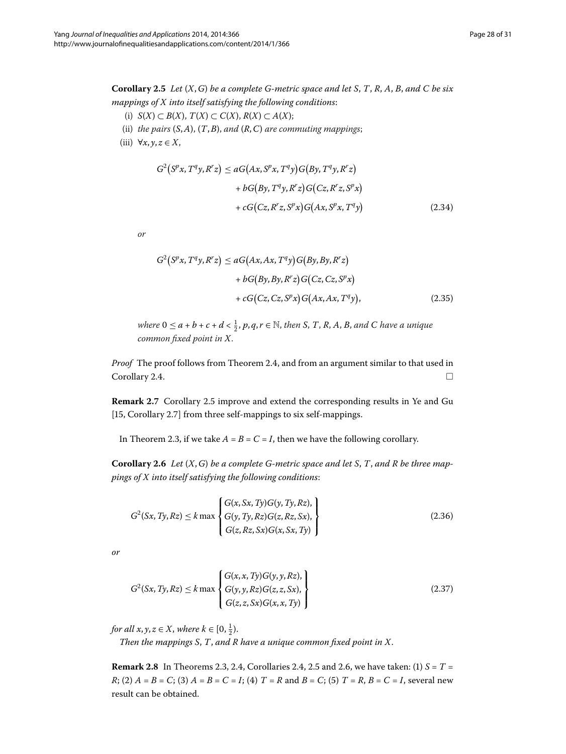<span id="page-27-0"></span>**Corollary .** *Let* (*X*,*G*) *be a complete G-metric space and let S*, *T*, *R*, *A*, *B*, *and C be six mappings of X into itself satisfying the following conditions*:

- (i) *S*(*X*) ⊂ *B*(*X*), *T*(*X*) ⊂ *C*(*X*), *R*(*X*) ⊂ *A*(*X*);
- (ii) *the pairs* (*S*,*A*), (*T*,*B*), *and* (*R*,*C*) *are commuting mappings*;
- (iii)  $\forall x, y, z \in X$ ,

$$
G^{2}(S^{p}x, T^{q}y, R^{r}z) \le aG(Ax, S^{p}x, T^{q}y)G(By, T^{q}y, R^{r}z) + bG(By, T^{q}y, R^{r}z)G(Cz, R^{r}z, S^{p}x) + cG(Cz, R^{r}z, S^{p}x)G(Ax, S^{p}x, T^{q}y)
$$
(2.34)

*or*

$$
G^{2}(S^{p}x, T^{q}y, R^{r}z) \le aG(Ax, Ax, T^{q}y)G(By, By, R^{r}z)
$$

$$
+ bG(By, By, R^{r}z)G(Cz, Cz, S^{p}x)
$$

$$
+ cG(Cz, Cz, S^{p}x)G(Ax, Ax, T^{q}y), \qquad (2.35)
$$

*where*  $0 \le a + b + c + d < \frac{1}{2}$ ,  $p, q, r \in \mathbb{N}$ , then S, T, R, A, B, and C have a unique *common fixed point in X*.

<span id="page-27-1"></span>*Proof* The proof follows from Theorem 2[.](#page-24-2)4, and from an argument similar to that used in  $Corollary 2.4.$  $Corollary 2.4.$  $Corollary 2.4.$ 

**Remark 2[.](#page-27-0)7** Corollary 2.5 improve and extend the corresponding results in Ye and Gu  $[15, Corollary 2.7]$  $[15, Corollary 2.7]$  $[15, Corollary 2.7]$  from three self-mappings to six self-mappings.

In Theorem 2.3, if we take  $A = B = C = I$ , then we have the following corollary.

**Corollary .** *Let* (*X*,*G*) *be a complete G-metric space and let S*, *T*, *and R be three mappings of X into itself satisfying the following conditions*:

<span id="page-27-2"></span>
$$
G^{2}(Sx, Ty, Rz) \le k \max \begin{Bmatrix} G(x, Sx, Ty)G(y, Ty, Rz), \\ G(y, Ty, Rz)G(z, Rz, Sx), \\ G(z, Rz, Sx)G(x, Sx, Ty) \end{Bmatrix}
$$
(2.36)

*or*

$$
G^{2}(Sx, Ty, Rz) \le k \max \begin{cases} G(x, x, Ty)G(y, y, Rz), \\ G(y, y, Rz)G(z, z, Sx), \\ G(z, z, Sx)G(x, x, Ty) \end{cases}
$$
(2.37)

*for all x*, *y*, *z*  $\in$  *X*, *where k*  $\in$  [0,  $\frac{1}{2}$ ).

*Then the mappings S*, *T*, *and R have a unique common fixed point in X*.

**Remark 2[.](#page-27-0)8** In Theorems 2.3, 2.4, Corollaries 2.4, 2.5 and 2.6, we have taken: (1)  $S = T =$ *R*; (2)  $A = B = C$ ; (3)  $A = B = C = I$ ; (4)  $T = R$  and  $B = C$ ; (5)  $T = R$ ,  $B = C = I$ , several new result can be obtained.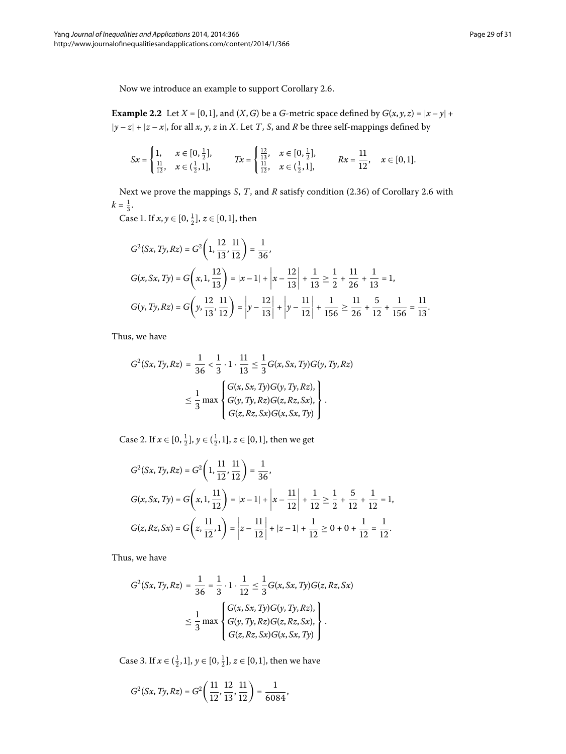Now we introduce an example to support Corollary 2.6.

**Example 2.2** Let  $X = [0, 1]$ , and  $(X, G)$  be a *G*-metric space defined by  $G(x, y, z) = |x - y| +$ |*y* – *z*| + |*z* – *x*|, for all *x*, *y*, *z* in *X*. Let *T*, *S*, and *R* be three self-mappings defined by

$$
Sx = \begin{cases} 1, & x \in [0, \frac{1}{2}], \\ \frac{11}{12}, & x \in (\frac{1}{2}, 1], \end{cases} \qquad \quad Tx = \begin{cases} \frac{12}{13}, & x \in [0, \frac{1}{2}], \\ \frac{11}{12}, & x \in (\frac{1}{2}, 1], \end{cases} \qquad \quad Rx = \frac{11}{12}, \quad x \in [0, 1].
$$

Next we prove the mappings *S*, *T*, and *R* satisfy condition (2[.](#page-27-1)36) of Corollary 2.6 with  $k = \frac{1}{3}.$ 

Case 1. If  $x, y \in [0, \frac{1}{2}], z \in [0, 1],$  then

$$
G^{2}(Sx, Ty, Rz) = G^{2}\left(1, \frac{12}{13}, \frac{11}{12}\right) = \frac{1}{36},
$$
  
\n
$$
G(x, Sx, Ty) = G\left(x, 1, \frac{12}{13}\right) = |x - 1| + \left|x - \frac{12}{13}\right| + \frac{1}{13} \ge \frac{1}{2} + \frac{11}{26} + \frac{1}{13} = 1,
$$
  
\n
$$
G(y, Ty, Rz) = G\left(y, \frac{12}{13}, \frac{11}{12}\right) = \left|y - \frac{12}{13}\right| + \left|y - \frac{11}{12}\right| + \frac{1}{156} \ge \frac{11}{26} + \frac{5}{12} + \frac{1}{156} = \frac{11}{13}.
$$

Thus, we have

$$
G^{2}(Sx, Ty, Rz) = \frac{1}{36} < \frac{1}{3} \cdot 1 \cdot \frac{11}{13} \leq \frac{1}{3} G(x, Sx, Ty)G(y, Ty, Rz)
$$

$$
\leq \frac{1}{3} \max \begin{cases} G(x, Sx, Ty)G(y, Ty, Rz), \\ G(y, Ty, Rz)G(z, Rz, Sx), \\ G(z, Rz, Sx)G(x, Sx, Ty) \end{cases}.
$$

Case 2. If  $x \in [0, \frac{1}{2}], y \in (\frac{1}{2}, 1], z \in [0, 1],$  then we get

$$
G^{2}(Sx, Ty, Rz) = G^{2}\left(1, \frac{11}{12}, \frac{11}{12}\right) = \frac{1}{36},
$$
  
\n
$$
G(x, Sx, Ty) = G\left(x, 1, \frac{11}{12}\right) = |x - 1| + \left|x - \frac{11}{12}\right| + \frac{1}{12} \ge \frac{1}{2} + \frac{5}{12} + \frac{1}{12} = 1,
$$
  
\n
$$
G(z, Rz, Sx) = G\left(z, \frac{11}{12}, 1\right) = \left|z - \frac{11}{12}\right| + |z - 1| + \frac{1}{12} \ge 0 + 0 + \frac{1}{12} = \frac{1}{12}.
$$

Thus, we have

$$
G^{2}(Sx, Ty, Rz) = \frac{1}{36} = \frac{1}{3} \cdot 1 \cdot \frac{1}{12} \leq \frac{1}{3} G(x, Sx, Ty)G(z, Rz, Sx)
$$

$$
\leq \frac{1}{3} \max \begin{cases} G(x, Sx, Ty)G(y, Ty, Rz), \\ G(y, Ty, Rz)G(z, Rz, Sx), \\ G(z, Rz, Sx)G(x, Sx, Ty) \end{cases}.
$$

Case 3. If *x* ∈  $(\frac{1}{2}, 1]$ , *y* ∈ [0,  $\frac{1}{2}$ ], *z* ∈ [0, 1], then we have

$$
G^{2}(Sx,Ty,Rz)=G^{2}\left(\frac{11}{12},\frac{12}{13},\frac{11}{12}\right)=\frac{1}{6084},
$$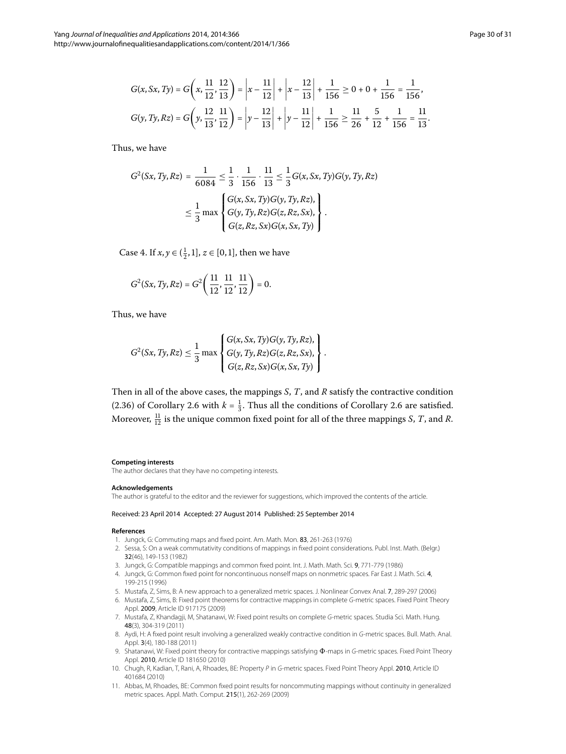Thus, we have

$$
G^{2}(Sx, Ty, Rz) = \frac{1}{6084} \leq \frac{1}{3} \cdot \frac{1}{156} \cdot \frac{11}{13} \leq \frac{1}{3} G(x, Sx, Ty)G(y, Ty, Rz)
$$

$$
\leq \frac{1}{3} \max \left\{ \frac{G(x, Sx, Ty)G(y, Ty, Rz)}{G(y, Ty, Rz)G(z, Rz, Sx)}, \right\}.
$$

Case 4. If *x*, *y* ∈  $(\frac{1}{2}, 1]$ , *z* ∈ [0,1], then we have

$$
G^{2}(Sx,Ty,Rz)=G^{2}\left(\frac{11}{12},\frac{11}{12},\frac{11}{12}\right)=0.
$$

Thus, we have

$$
G^{2}(Sx, Ty, Rz) \leq \frac{1}{3} \max \left\{ \begin{aligned} &G(x, Sx, Ty)G(y, Ty, Rz), \\ &G(y, Ty, Rz)G(z, Rz, Sx), \\ &G(z, Rz, Sx)G(x, Sx, Ty) \end{aligned} \right\}.
$$

Then in all of the above cases, the mappings *S*, *T*, and *R* satisfy the contractive condition (2[.](#page-27-1)36) of Corollary 2.6 with  $k = \frac{1}{3}$ . Thus all the conditions of Corollary 2.6 are satisfied. Moreover,  $\frac{11}{12}$  is the unique common fixed point for all of the three mappings *S*, *T*, and *R*.

#### <span id="page-29-1"></span><span id="page-29-0"></span>**Competing interests**

<span id="page-29-2"></span>The author declares that they have no competing interests.

#### <span id="page-29-3"></span>**Acknowledgements**

<span id="page-29-4"></span>The author is grateful to the editor and the reviewer for suggestions, which improved the contents of the article.

#### <span id="page-29-5"></span>Received: 23 April 2014 Accepted: 27 August 2014 Published: 25 September 2014

#### <span id="page-29-7"></span><span id="page-29-6"></span>**References**

- 1. Jungck, G: Commuting maps and fixed point. Am. Math. Mon. 83, 261-263 (1976)
- 2. Sessa, S: On a weak commutativity conditions of mappings in fixed point considerations. Publ. Inst. Math. (Belgr.) 32(46), 149-153 (1982)
- <span id="page-29-8"></span>3. Jungck, G: Compatible mappings and common fixed point. Int. J. Math. Math. Sci. 9, 771-779 (1986)
- 4. Jungck, G: Common fixed point for noncontinuous nonself maps on nonmetric spaces. Far East J. Math. Sci. 4, 199-215 (1996)
- <span id="page-29-10"></span><span id="page-29-9"></span>5. Mustafa, Z, Sims, B: A new approach to a generalized metric spaces. J. Nonlinear Convex Anal. 7, 289-297 (2006)
- 6. Mustafa, Z, Sims, B: Fixed point theorems for contractive mappings in complete G-metric spaces. Fixed Point Theory Appl. 2009, Article ID 917175 (2009)
- 7. Mustafa, Z, Khandagji, M, Shatanawi, W: Fixed point results on complete G-metric spaces. Studia Sci. Math. Hung. 48(3), 304-319 (2011)
- 8. Aydi, H: A fixed point result involving a generalized weakly contractive condition in G-metric spaces. Bull. Math. Anal. Appl. 3(4), 180-188 (2011)
- 9. Shatanawi, W: Fixed point theory for contractive mappings satisfying  $\Phi$ -maps in G-metric spaces. Fixed Point Theory Appl. 2010, Article ID 181650 (2010)
- 10. Chugh, R, Kadian, T, Rani, A, Rhoades, BE: Property P in G-metric spaces. Fixed Point Theory Appl. 2010, Article ID 401684 (2010)
- 11. Abbas, M, Rhoades, BE: Common fixed point results for noncommuting mappings without continuity in generalized metric spaces. Appl. Math. Comput. 215(1), 262-269 (2009)